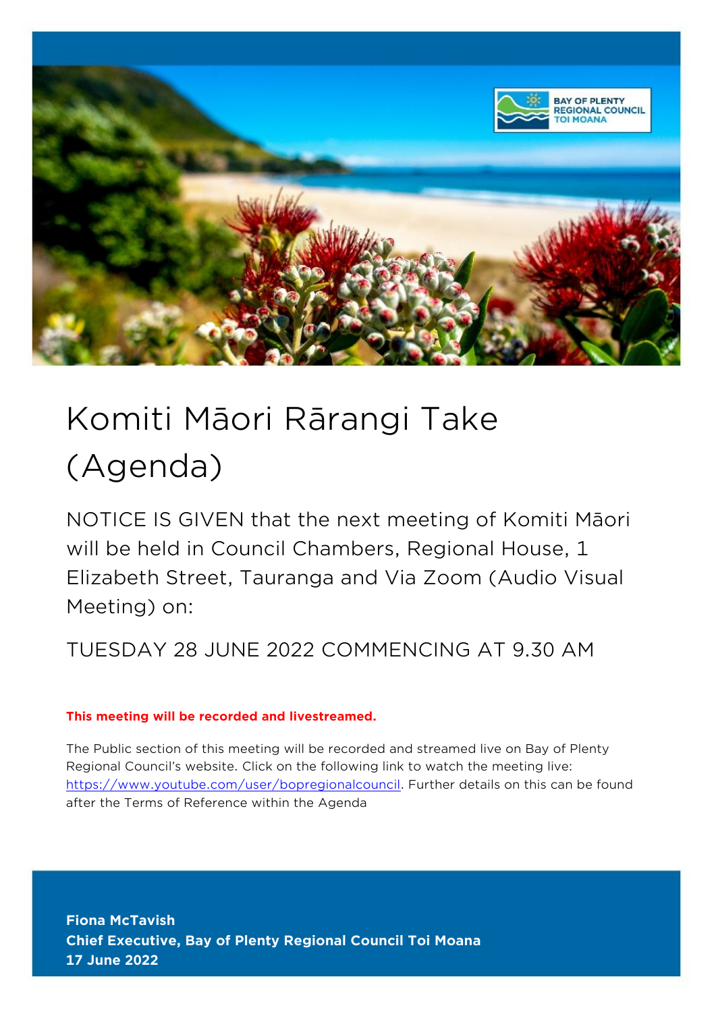

# Komiti Māori Rārangi Take (Agenda)

NOTICE IS GIVEN that the next meeting of Komiti Māori will be held in Council Chambers, Regional House, 1 Elizabeth Street, Tauranga and Via Zoom (Audio Visual Meeting) on:

TUESDAY 28 JUNE 2022 COMMENCING AT 9.30 AM

#### **This meeting will be recorded and livestreamed.**

The Public section of this meeting will be recorded and streamed live on Bay of Plenty Regional Council's website. Click on the following link to watch the meeting live: [https://www.youtube.com/user/bopregionalcouncil.](https://www.youtube.com/user/bopregionalcouncil) Further details on this can be found after the Terms of Reference within the Agenda

**Fiona McTavish Chief Executive, Bay of Plenty Regional Council Toi Moana 17 June 2022**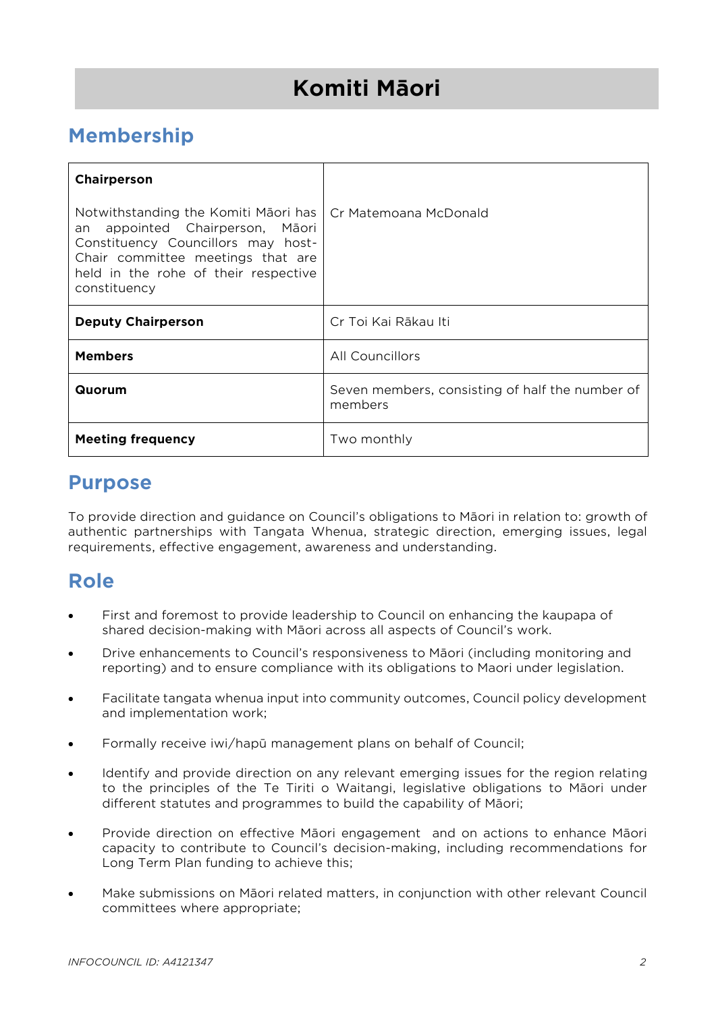# **Komiti Māori**

# **Membership**

| Chairperson                                                                                                                                                                                                |                                                            |
|------------------------------------------------------------------------------------------------------------------------------------------------------------------------------------------------------------|------------------------------------------------------------|
| Notwithstanding the Komiti Māori has<br>an appointed Chairperson, Māori<br>Constituency Councillors may host-<br>Chair committee meetings that are<br>held in the rohe of their respective<br>constituency | Cr Matemoana McDonald                                      |
| <b>Deputy Chairperson</b>                                                                                                                                                                                  | Cr Toi Kai Rākau Iti                                       |
| <b>Members</b>                                                                                                                                                                                             | All Councillors                                            |
| Quorum                                                                                                                                                                                                     | Seven members, consisting of half the number of<br>members |
| <b>Meeting frequency</b>                                                                                                                                                                                   | Two monthly                                                |

## **Purpose**

To provide direction and guidance on Council's obligations to Māori in relation to: growth of authentic partnerships with Tangata Whenua, strategic direction, emerging issues, legal requirements, effective engagement, awareness and understanding.

# **Role**

- First and foremost to provide leadership to Council on enhancing the kaupapa of shared decision-making with Māori across all aspects of Council's work.
- Drive enhancements to Council's responsiveness to Māori (including monitoring and reporting) and to ensure compliance with its obligations to Maori under legislation.
- Facilitate tangata whenua input into community outcomes, Council policy development and implementation work;
- Formally receive iwi/hapū management plans on behalf of Council;
- Identify and provide direction on any relevant emerging issues for the region relating to the principles of the Te Tiriti o Waitangi, legislative obligations to Māori under different statutes and programmes to build the capability of Māori;
- Provide direction on effective Māori engagement and on actions to enhance Māori capacity to contribute to Council's decision-making, including recommendations for Long Term Plan funding to achieve this;
- Make submissions on Māori related matters, in conjunction with other relevant Council committees where appropriate;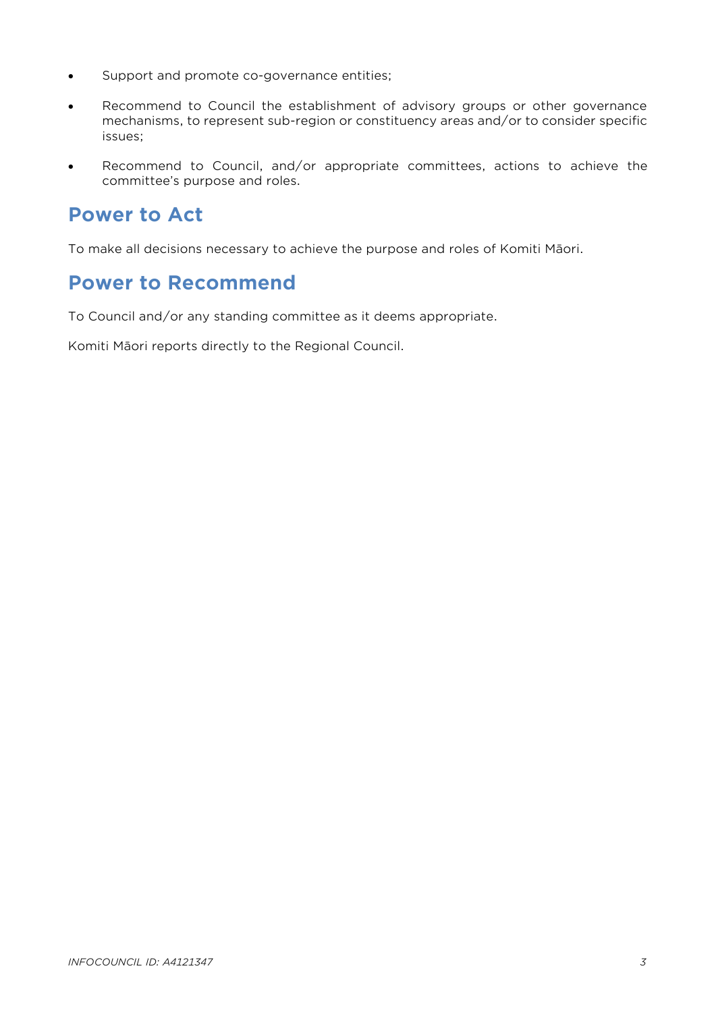- Support and promote co-governance entities;
- Recommend to Council the establishment of advisory groups or other governance mechanisms, to represent sub-region or constituency areas and/or to consider specific issues;
- Recommend to Council, and/or appropriate committees, actions to achieve the committee's purpose and roles.

# **Power to Act**

To make all decisions necessary to achieve the purpose and roles of Komiti Māori.

# **Power to Recommend**

To Council and/or any standing committee as it deems appropriate.

Komiti Māori reports directly to the Regional Council.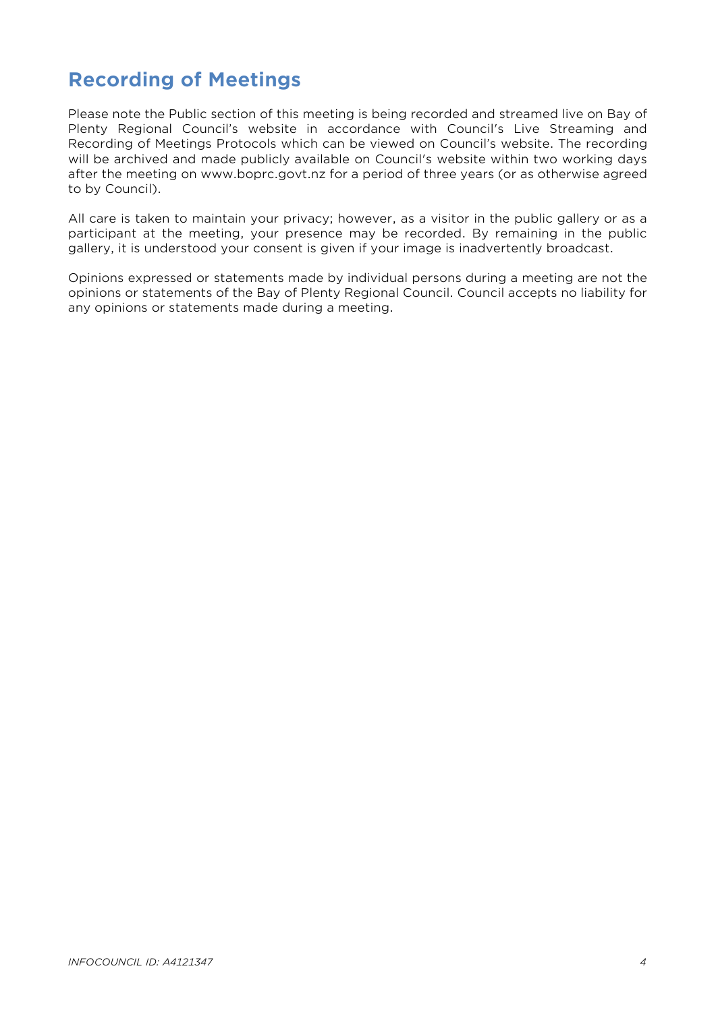# **Recording of Meetings**

Please note the Public section of this meeting is being recorded and streamed live on Bay of Plenty Regional Council's website in accordance with Council's Live Streaming and Recording of Meetings Protocols which can be viewed on Council's website. The recording will be archived and made publicly available on Council's website within two working days after the meeting on www.boprc.govt.nz for a period of three years (or as otherwise agreed to by Council).

All care is taken to maintain your privacy; however, as a visitor in the public gallery or as a participant at the meeting, your presence may be recorded. By remaining in the public gallery, it is understood your consent is given if your image is inadvertently broadcast.

Opinions expressed or statements made by individual persons during a meeting are not the opinions or statements of the Bay of Plenty Regional Council. Council accepts no liability for any opinions or statements made during a meeting.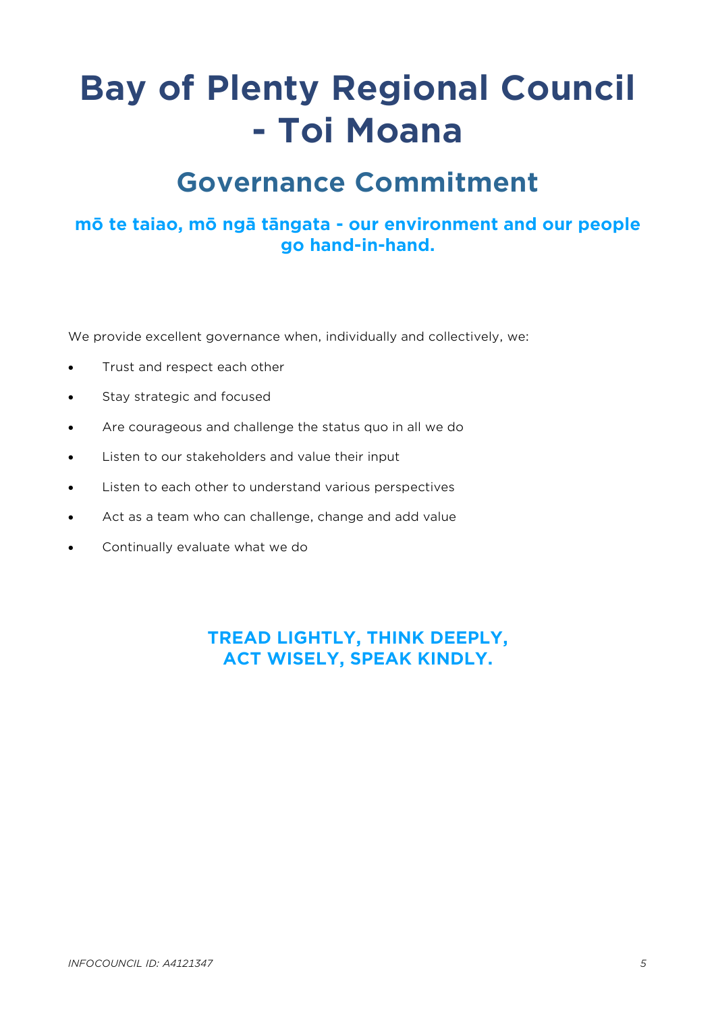# **Bay of Plenty Regional Council - Toi Moana**

# **Governance Commitment**

# **mō te taiao, mō ngā tāngata - our environment and our people go hand-in-hand.**

We provide excellent governance when, individually and collectively, we:

- Trust and respect each other
- Stay strategic and focused
- Are courageous and challenge the status quo in all we do
- Listen to our stakeholders and value their input
- Listen to each other to understand various perspectives
- Act as a team who can challenge, change and add value
- Continually evaluate what we do

**TREAD LIGHTLY, THINK DEEPLY, ACT WISELY, SPEAK KINDLY.**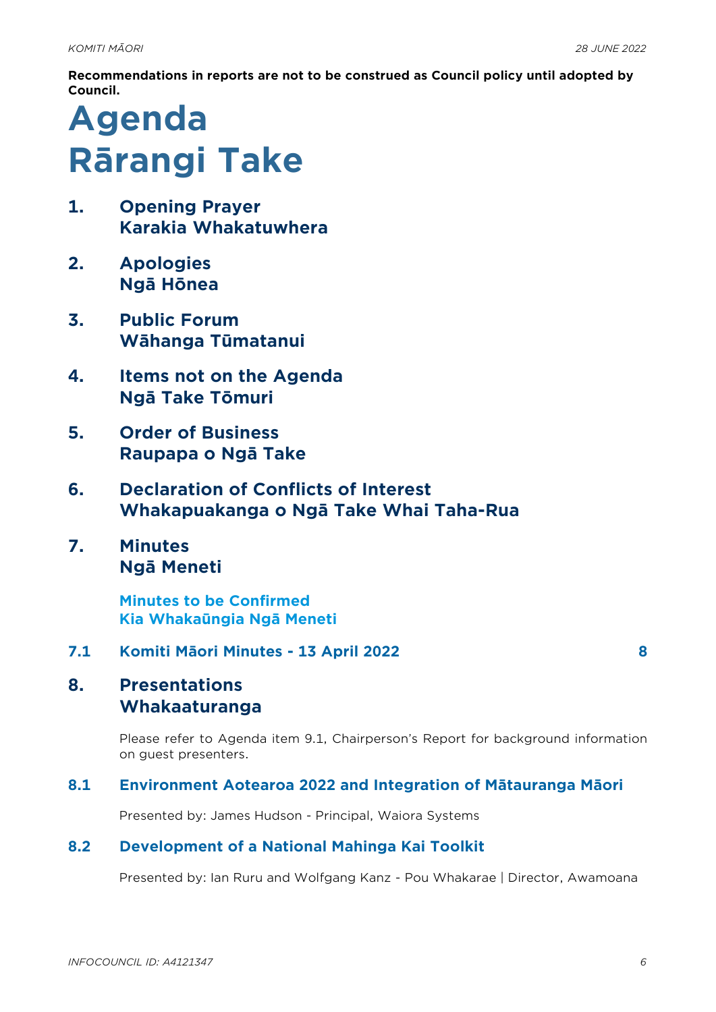**Recommendations in reports are not to be construed as Council policy until adopted by Council.**

# **Agenda Rārangi Take**

- **1. Opening Prayer Karakia Whakatuwhera**
- **2. Apologies Ngā Hōnea**
- **3. Public Forum Wāhanga Tūmatanui**
- **4. Items not on the Agenda Ngā Take Tōmuri**
- **5. Order of Business Raupapa o Ngā Take**
- **6. Declaration of Conflicts of Interest Whakapuakanga o Ngā Take Whai Taha-Rua**
- **7. Minutes Ngā Meneti**

**Minutes to be Confirmed Kia Whakaūngia Ngā Meneti**

#### **7.1 Komiti Māori Minutes - 13 April 2022 [8](#page-7-0)**

# **8. Presentations Whakaaturanga**

Please refer to Agenda item 9.1, Chairperson's Report for background information on guest presenters.

#### **8.1 Environment Aotearoa 2022 and Integration of Mātauranga Māori**

Presented by: James Hudson - Principal, Waiora Systems

#### **8.2 Development of a National Mahinga Kai Toolkit**

Presented by: Ian Ruru and Wolfgang Kanz - Pou Whakarae | Director, Awamoana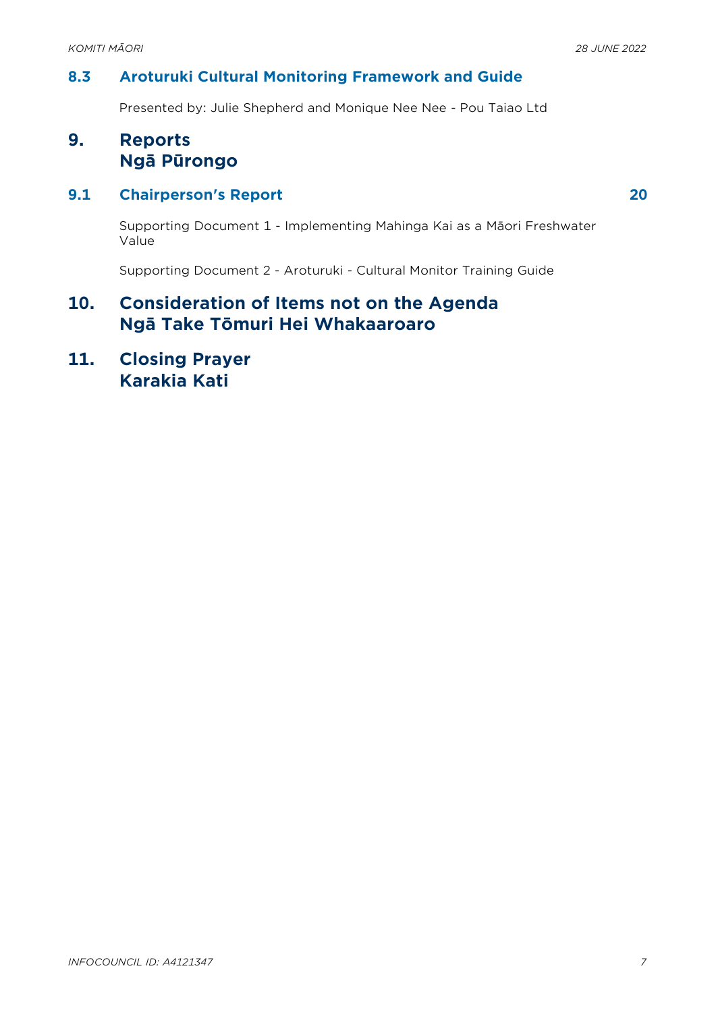#### **8.3 Aroturuki Cultural Monitoring Framework and Guide**

Presented by: Julie Shepherd and Monique Nee Nee - Pou Taiao Ltd

# **9. Reports Ngā Pūrongo**

#### **9.1 Chairperson's Report [20](#page-19-0)**

Supporting Document 1 - Implementing Mahinga Kai as a Māori Freshwater Value

Supporting Document 2 - Aroturuki - Cultural Monitor Training Guide

## **10. Consideration of Items not on the Agenda Ngā Take Tōmuri Hei Whakaaroaro**

**11. Closing Prayer Karakia Kati**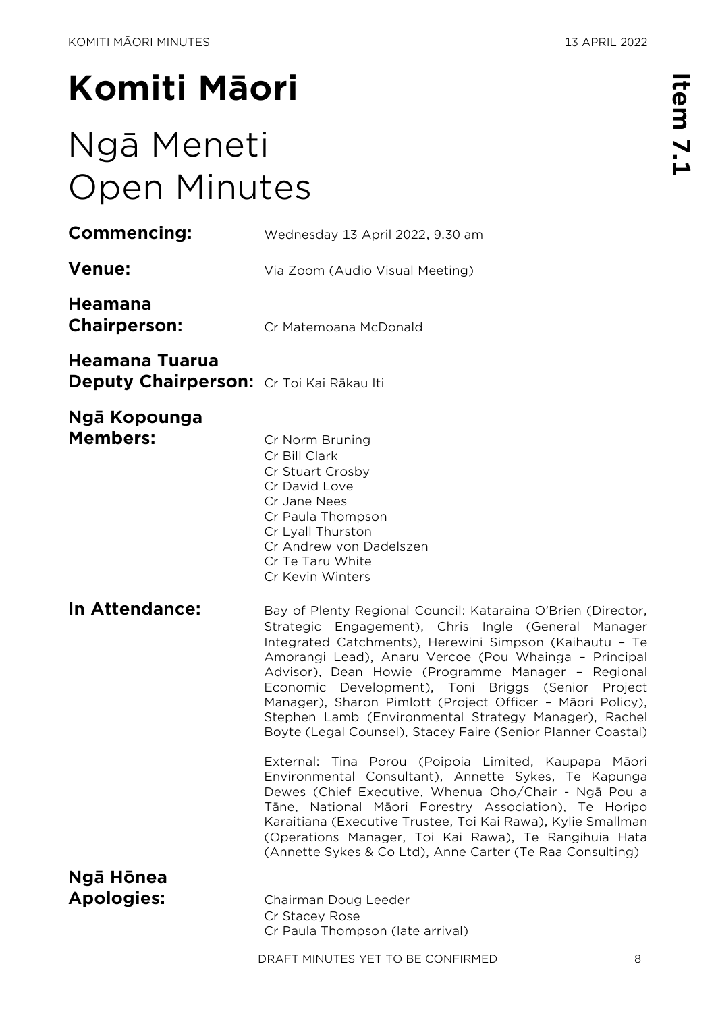# <span id="page-7-0"></span>**Komiti Māori**

# Ngā Meneti Open Minutes

| <b>Commencing:</b>                                         | Wednesday 13 April 2022, 9.30 am                                                                                                                                                                                                                                                                                                                                                                                                                                                                                                           |
|------------------------------------------------------------|--------------------------------------------------------------------------------------------------------------------------------------------------------------------------------------------------------------------------------------------------------------------------------------------------------------------------------------------------------------------------------------------------------------------------------------------------------------------------------------------------------------------------------------------|
| <b>Venue:</b>                                              | Via Zoom (Audio Visual Meeting)                                                                                                                                                                                                                                                                                                                                                                                                                                                                                                            |
| Heamana<br><b>Chairperson:</b>                             | Cr Matemoana McDonald                                                                                                                                                                                                                                                                                                                                                                                                                                                                                                                      |
| Heamana Tuarua<br>Deputy Chairperson: Cr Toi Kai Rākau Iti |                                                                                                                                                                                                                                                                                                                                                                                                                                                                                                                                            |
| Ngā Kopounga<br><b>Members:</b>                            | Cr Norm Bruning<br>Cr Bill Clark<br>Cr Stuart Crosby<br>Cr David Love<br>Cr Jane Nees<br>Cr Paula Thompson<br>Cr Lyall Thurston<br>Cr Andrew von Dadelszen<br>Cr Te Taru White<br>Cr Kevin Winters                                                                                                                                                                                                                                                                                                                                         |
| In Attendance:                                             | Bay of Plenty Regional Council: Kataraina O'Brien (Director,<br>Strategic Engagement), Chris Ingle (General Manager<br>Integrated Catchments), Herewini Simpson (Kaihautu - Te<br>Amorangi Lead), Anaru Vercoe (Pou Whainga - Principal<br>Advisor), Dean Howie (Programme Manager - Regional<br>Economic Development), Toni Briggs (Senior Project<br>Manager), Sharon Pimlott (Project Officer - Māori Policy),<br>Stephen Lamb (Environmental Strategy Manager), Rachel<br>Boyte (Legal Counsel), Stacey Faire (Senior Planner Coastal) |
|                                                            | External: Tina Porou (Poipoia Limited, Kaupapa Māori<br>Environmental Consultant), Annette Sykes, Te Kapunga<br>Dewes (Chief Executive, Whenua Oho/Chair - Ngā Pou a<br>Tāne, National Māori Forestry Association), Te Horipo<br>Karaitiana (Executive Trustee, Toi Kai Rawa), Kylie Smallman<br>(Operations Manager, Toi Kai Rawa), Te Rangihuia Hata<br>(Annette Sykes & Co Ltd), Anne Carter (Te Raa Consulting)                                                                                                                        |
| Ngā Hōnea<br><b>Apologies:</b>                             | Chairman Doug Leeder<br>Cr Stacey Rose<br>Cr Paula Thompson (late arrival)                                                                                                                                                                                                                                                                                                                                                                                                                                                                 |
|                                                            | DRAFT MINUTES YET TO BE CONFIRMED<br>8                                                                                                                                                                                                                                                                                                                                                                                                                                                                                                     |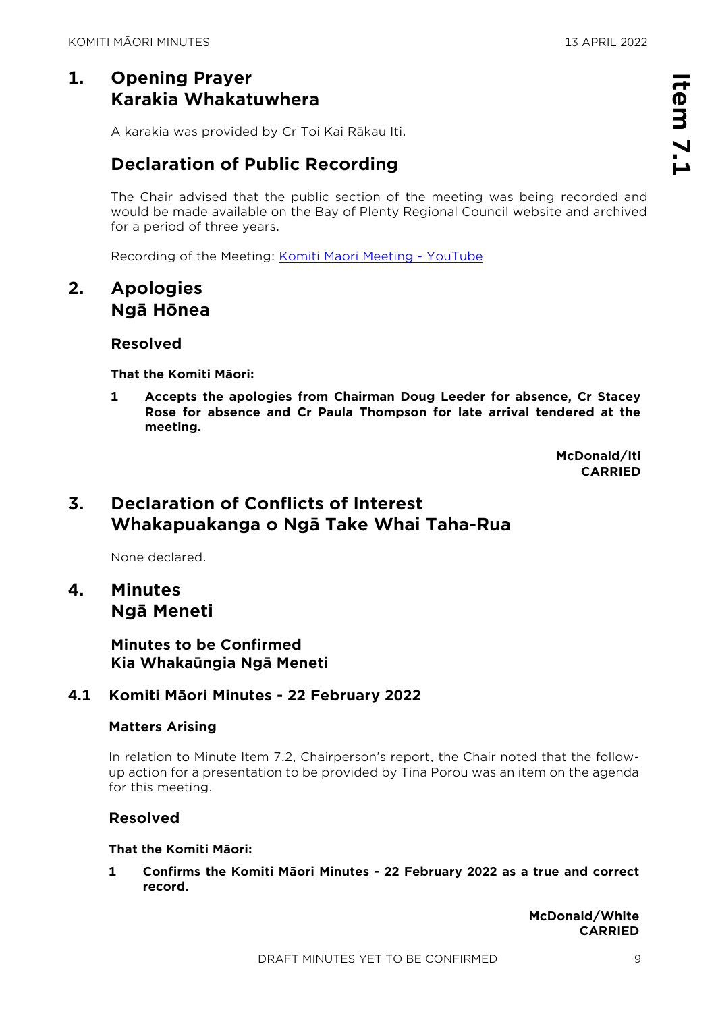# **1. Opening Prayer Karakia Whakatuwhera**

A karakia was provided by Cr Toi Kai Rākau Iti.

# **Declaration of Public Recording**

The Chair advised that the public section of the meeting was being recorded and would be made available on the Bay of Plenty Regional Council website and archived for a period of three years.

Recording of the Meeting: [Komiti Maori Meeting -](https://www.youtube.com/watch?v=5_nhYwySpwA&t=3296s) YouTube

## **2. Apologies Ngā Hōnea**

#### **Resolved**

**That the Komiti Māori:**

**1 Accepts the apologies from Chairman Doug Leeder for absence, Cr Stacey Rose for absence and Cr Paula Thompson for late arrival tendered at the meeting.**

> **McDonald/Iti CARRIED**

# **3. Declaration of Conflicts of Interest Whakapuakanga o Ngā Take Whai Taha-Rua**

None declared.

**4. Minutes Ngā Meneti**

> **Minutes to be Confirmed Kia Whakaūngia Ngā Meneti**

#### **4.1 Komiti Māori Minutes - 22 February 2022**

#### **Matters Arising**

In relation to Minute Item 7.2, Chairperson's report, the Chair noted that the followup action for a presentation to be provided by Tina Porou was an item on the agenda for this meeting.

#### **Resolved**

#### **That the Komiti Māori:**

**1 Confirms the Komiti Māori Minutes - 22 February 2022 as a true and correct record.**

> **McDonald/White CARRIED**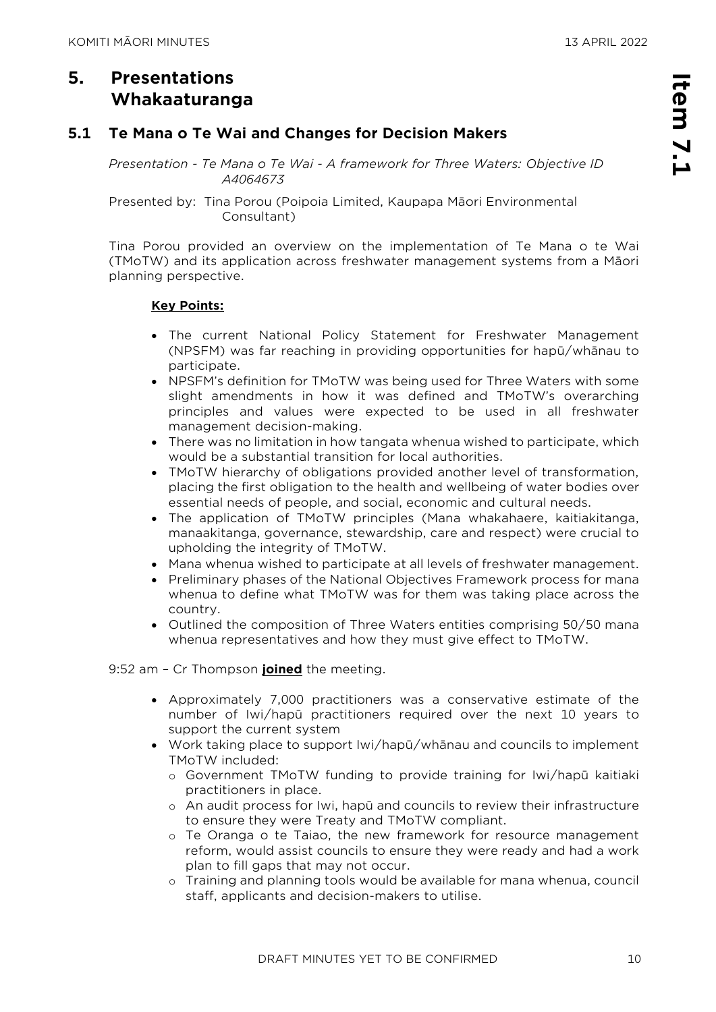# **5. Presentations Whakaaturanga**

#### **5.1 Te Mana o Te Wai and Changes for Decision Makers**

*Presentation - Te Mana o Te Wai - A framework for Three Waters: Objective ID A4064673* 

#### Presented by: Tina Porou (Poipoia Limited, Kaupapa Māori Environmental Consultant)

Tina Porou provided an overview on the implementation of Te Mana o te Wai (TMoTW) and its application across freshwater management systems from a Māori planning perspective.

#### **Key Points:**

- The current National Policy Statement for Freshwater Management (NPSFM) was far reaching in providing opportunities for hapū/whānau to participate.
- NPSFM's definition for TMoTW was being used for Three Waters with some slight amendments in how it was defined and TMoTW's overarching principles and values were expected to be used in all freshwater management decision-making.
- There was no limitation in how tangata whenua wished to participate, which would be a substantial transition for local authorities.
- TMoTW hierarchy of obligations provided another level of transformation, placing the first obligation to the health and wellbeing of water bodies over essential needs of people, and social, economic and cultural needs.
- The application of TMoTW principles (Mana whakahaere, kaitiakitanga, manaakitanga, governance, stewardship, care and respect) were crucial to upholding the integrity of TMoTW.
- Mana whenua wished to participate at all levels of freshwater management.
- Preliminary phases of the National Objectives Framework process for mana whenua to define what TMoTW was for them was taking place across the country.
- Outlined the composition of Three Waters entities comprising 50/50 mana whenua representatives and how they must give effect to TMoTW.

9:52 am – Cr Thompson **joined** the meeting.

- Approximately 7,000 practitioners was a conservative estimate of the number of Iwi/hapū practitioners required over the next 10 years to support the current system
- Work taking place to support Iwi/hapū/whānau and councils to implement TMoTW included:
	- o Government TMoTW funding to provide training for Iwi/hapū kaitiaki practitioners in place.
	- o An audit process for Iwi, hapū and councils to review their infrastructure to ensure they were Treaty and TMoTW compliant.
	- o Te Oranga o te Taiao, the new framework for resource management reform, would assist councils to ensure they were ready and had a work plan to fill gaps that may not occur.
	- o Training and planning tools would be available for mana whenua, council staff, applicants and decision-makers to utilise.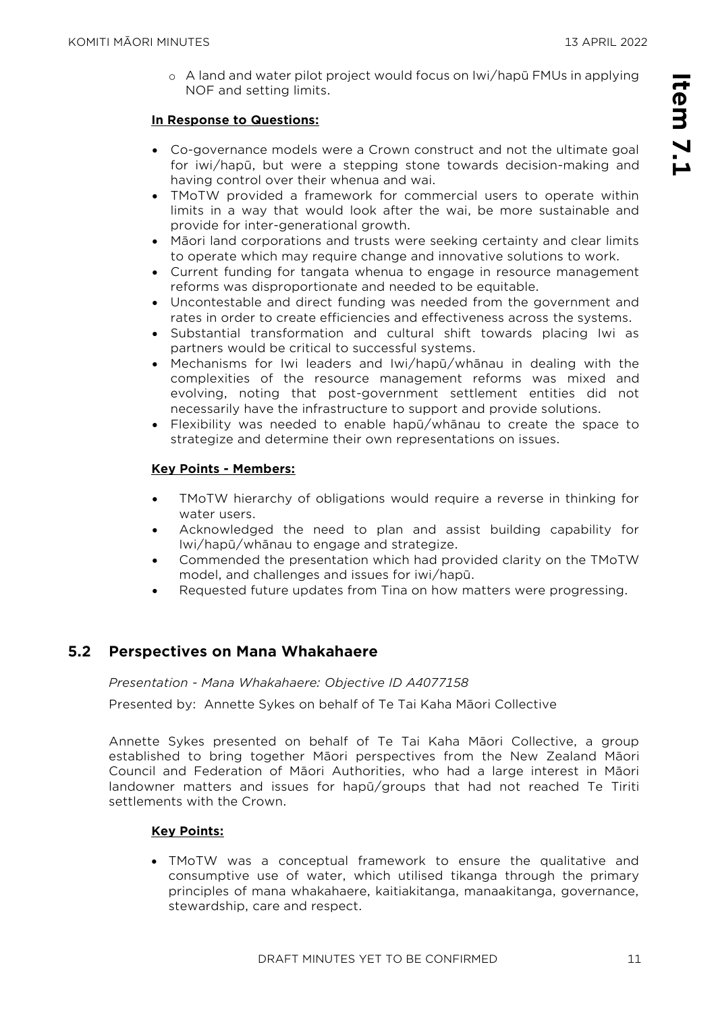o A land and water pilot project would focus on Iwi/hapū FMUs in applying NOF and setting limits.

#### **In Response to Questions:**

- Co-governance models were a Crown construct and not the ultimate goal for iwi/hapū, but were a stepping stone towards decision-making and having control over their whenua and wai.
- TMoTW provided a framework for commercial users to operate within limits in a way that would look after the wai, be more sustainable and provide for inter-generational growth.
- Māori land corporations and trusts were seeking certainty and clear limits to operate which may require change and innovative solutions to work.
- Current funding for tangata whenua to engage in resource management reforms was disproportionate and needed to be equitable.
- Uncontestable and direct funding was needed from the government and rates in order to create efficiencies and effectiveness across the systems.
- Substantial transformation and cultural shift towards placing Iwi as partners would be critical to successful systems.
- Mechanisms for Iwi leaders and Iwi/hapū/whānau in dealing with the complexities of the resource management reforms was mixed and evolving, noting that post-government settlement entities did not necessarily have the infrastructure to support and provide solutions.
- Flexibility was needed to enable hapū/whānau to create the space to strategize and determine their own representations on issues.

#### **Key Points - Members:**

- TMoTW hierarchy of obligations would require a reverse in thinking for water users.
- Acknowledged the need to plan and assist building capability for Iwi/hapū/whānau to engage and strategize.
- Commended the presentation which had provided clarity on the TMoTW model, and challenges and issues for iwi/hapū.
- Requested future updates from Tina on how matters were progressing.

#### **5.2 Perspectives on Mana Whakahaere**

*Presentation - Mana Whakahaere: Objective ID A4077158* 

Presented by: Annette Sykes on behalf of Te Tai Kaha Māori Collective

Annette Sykes presented on behalf of Te Tai Kaha Māori Collective, a group established to bring together Māori perspectives from the New Zealand Māori Council and Federation of Māori Authorities, who had a large interest in Māori landowner matters and issues for hapū/groups that had not reached Te Tiriti settlements with the Crown.

#### **Key Points:**

• TMoTW was a conceptual framework to ensure the qualitative and consumptive use of water, which utilised tikanga through the primary principles of mana whakahaere, kaitiakitanga, manaakitanga, governance, stewardship, care and respect.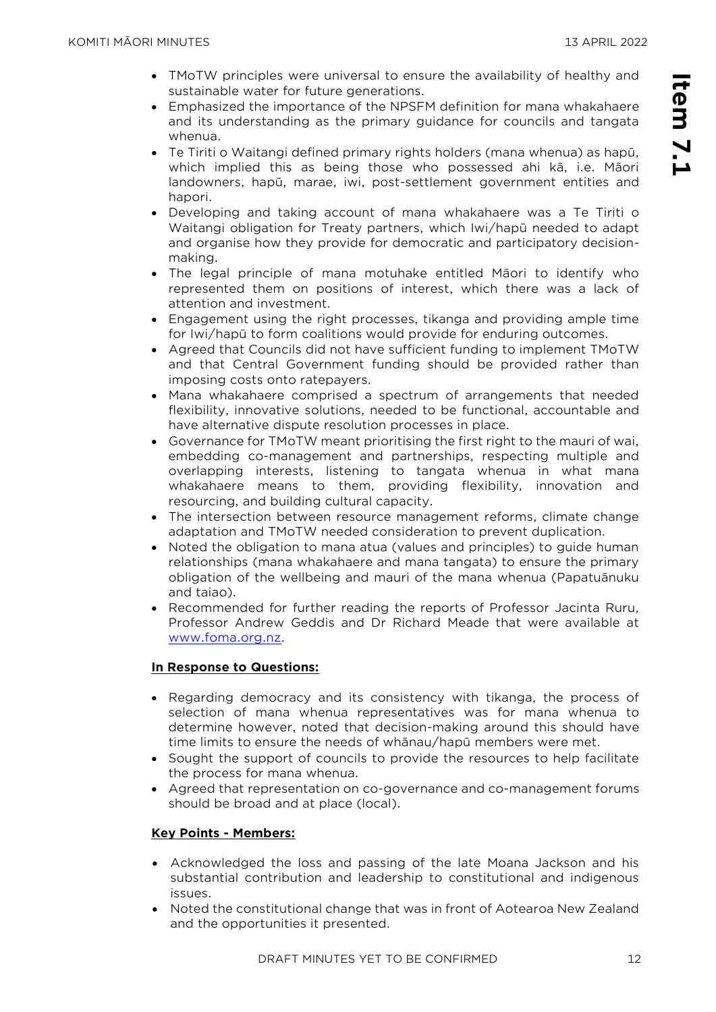- TMoTW principles were universal to ensure the availability of healthy and sustainable water for future generations.
- Emphasized the importance of the NPSFM definition for mana whakahaere and its understanding as the primary guidance for councils and tangata whenua.
- Te Tiriti o Waitangi defined primary rights holders (mana whenua) as hapū, which implied this as being those who possessed ahi kā, i.e. Māori landowners, hapū, marae, iwi, post-settlement government entities and hapori.
- Developing and taking account of mana whakahaere was a Te Tiriti o Waitangi obligation for Treaty partners, which Iwi/hapū needed to adapt and organise how they provide for democratic and participatory decisionmaking.
- The legal principle of mana motuhake entitled Māori to identify who represented them on positions of interest, which there was a lack of attention and investment.
- Engagement using the right processes, tikanga and providing ample time for Iwi/hapū to form coalitions would provide for enduring outcomes.
- Agreed that Councils did not have sufficient funding to implement TMoTW and that Central Government funding should be provided rather than imposing costs onto ratepayers.
- Mana whakahaere comprised a spectrum of arrangements that needed flexibility, innovative solutions, needed to be functional, accountable and have alternative dispute resolution processes in place.
- Governance for TMoTW meant prioritising the first right to the mauri of wai, embedding co-management and partnerships, respecting multiple and overlapping interests, listening to tangata whenua in what mana whakahaere means to them, providing flexibility, innovation and resourcing, and building cultural capacity.
- The intersection between resource management reforms, climate change adaptation and TMoTW needed consideration to prevent duplication.
- Noted the obligation to mana atua (values and principles) to guide human relationships (mana whakahaere and mana tangata) to ensure the primary obligation of the wellbeing and mauri of the mana whenua (Papatuānuku and taiao).
- Recommended for further reading the reports of Professor Jacinta Ruru, Professor Andrew Geddis and Dr Richard Meade that were available at [www.foma.org.nz.](http://www.foma.org.nz/)

#### **In Response to Questions:**

- Regarding democracy and its consistency with tikanga, the process of selection of mana whenua representatives was for mana whenua to determine however, noted that decision-making around this should have time limits to ensure the needs of whānau/hapū members were met.
- Sought the support of councils to provide the resources to help facilitate the process for mana whenua.
- Agreed that representation on co-governance and co-management forums should be broad and at place (local).

#### **Key Points - Members:**

- Acknowledged the loss and passing of the late Moana Jackson and his substantial contribution and leadership to constitutional and indigenous issues.
- Noted the constitutional change that was in front of Aotearoa New Zealand and the opportunities it presented.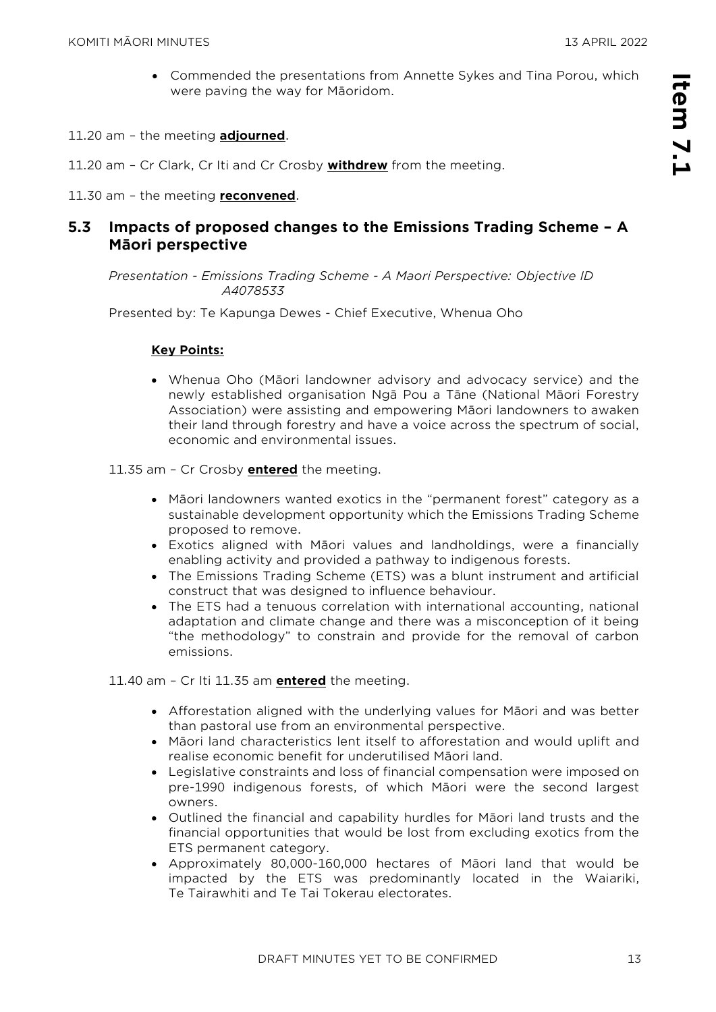- Commended the presentations from Annette Sykes and Tina Porou, which were paving the way for Māoridom.
- 11.20 am the meeting **adjourned**.
- 11.20 am Cr Clark, Cr Iti and Cr Crosby **withdrew** from the meeting.
- 11.30 am the meeting **reconvened**.

#### **5.3 Impacts of proposed changes to the Emissions Trading Scheme – A Māori perspective**

*Presentation - Emissions Trading Scheme - A Maori Perspective: Objective ID A4078533* 

Presented by: Te Kapunga Dewes - Chief Executive, Whenua Oho

#### **Key Points:**

- Whenua Oho (Māori landowner advisory and advocacy service) and the newly established organisation Ngā Pou a Tāne (National Māori Forestry Association) were assisting and empowering Māori landowners to awaken their land through forestry and have a voice across the spectrum of social, economic and environmental issues.
- 11.35 am Cr Crosby **entered** the meeting.
	- Māori landowners wanted exotics in the "permanent forest" category as a sustainable development opportunity which the Emissions Trading Scheme proposed to remove.
	- Exotics aligned with Māori values and landholdings, were a financially enabling activity and provided a pathway to indigenous forests.
	- The Emissions Trading Scheme (ETS) was a blunt instrument and artificial construct that was designed to influence behaviour.
	- The ETS had a tenuous correlation with international accounting, national adaptation and climate change and there was a misconception of it being "the methodology" to constrain and provide for the removal of carbon emissions.

11.40 am – Cr Iti 11.35 am **entered** the meeting.

- Afforestation aligned with the underlying values for Māori and was better than pastoral use from an environmental perspective.
- Māori land characteristics lent itself to afforestation and would uplift and realise economic benefit for underutilised Māori land.
- Legislative constraints and loss of financial compensation were imposed on pre-1990 indigenous forests, of which Māori were the second largest owners.
- Outlined the financial and capability hurdles for Māori land trusts and the financial opportunities that would be lost from excluding exotics from the ETS permanent category.
- Approximately 80,000-160,000 hectares of Māori land that would be impacted by the ETS was predominantly located in the Waiariki, Te Tairawhiti and Te Tai Tokerau electorates.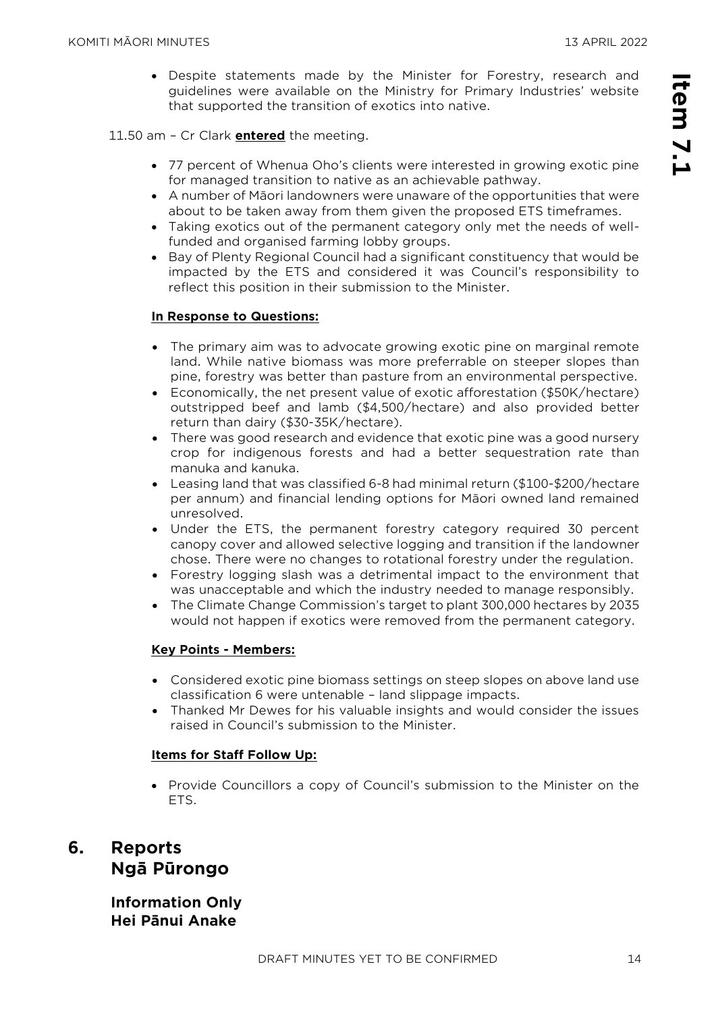• Despite statements made by the Minister for Forestry, research and guidelines were available on the Ministry for Primary Industries' website that supported the transition of exotics into native.

#### 11.50 am – Cr Clark **entered** the meeting.

- 77 percent of Whenua Oho's clients were interested in growing exotic pine for managed transition to native as an achievable pathway.
- A number of Māori landowners were unaware of the opportunities that were about to be taken away from them given the proposed ETS timeframes.
- Taking exotics out of the permanent category only met the needs of wellfunded and organised farming lobby groups.
- Bay of Plenty Regional Council had a significant constituency that would be impacted by the ETS and considered it was Council's responsibility to reflect this position in their submission to the Minister.

#### **In Response to Questions:**

- The primary aim was to advocate growing exotic pine on marginal remote land. While native biomass was more preferrable on steeper slopes than pine, forestry was better than pasture from an environmental perspective.
- Economically, the net present value of exotic afforestation (\$50K/hectare) outstripped beef and lamb (\$4,500/hectare) and also provided better return than dairy (\$30-35K/hectare).
- There was good research and evidence that exotic pine was a good nursery crop for indigenous forests and had a better sequestration rate than manuka and kanuka.
- Leasing land that was classified 6-8 had minimal return (\$100-\$200/hectare per annum) and financial lending options for Māori owned land remained unresolved.
- Under the ETS, the permanent forestry category required 30 percent canopy cover and allowed selective logging and transition if the landowner chose. There were no changes to rotational forestry under the regulation.
- Forestry logging slash was a detrimental impact to the environment that was unacceptable and which the industry needed to manage responsibly.
- The Climate Change Commission's target to plant 300,000 hectares by 2035 would not happen if exotics were removed from the permanent category.

#### **Key Points - Members:**

- Considered exotic pine biomass settings on steep slopes on above land use classification 6 were untenable – land slippage impacts.
- Thanked Mr Dewes for his valuable insights and would consider the issues raised in Council's submission to the Minister.

#### **Items for Staff Follow Up:**

• Provide Councillors a copy of Council's submission to the Minister on the ETS.

# **6. Reports Ngā Pūrongo**

**Information Only Hei Pānui Anake**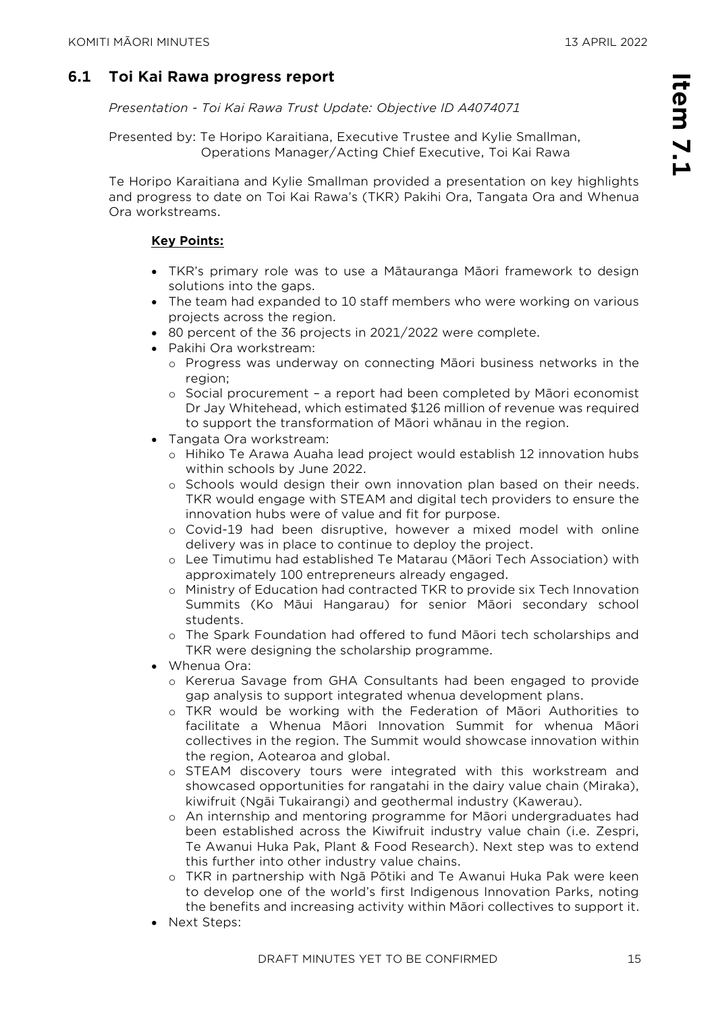**Item 7.1**

tem 7.1

*Presentation - Toi Kai Rawa Trust Update: Objective ID A4074071* 

Presented by: Te Horipo Karaitiana, Executive Trustee and Kylie Smallman, Operations Manager/Acting Chief Executive, Toi Kai Rawa

Te Horipo Karaitiana and Kylie Smallman provided a presentation on key highlights and progress to date on Toi Kai Rawa's (TKR) Pakihi Ora, Tangata Ora and Whenua Ora workstreams.

#### **Key Points:**

- TKR's primary role was to use a Mātauranga Māori framework to design solutions into the gaps.
- The team had expanded to 10 staff members who were working on various projects across the region.
- 80 percent of the 36 projects in 2021/2022 were complete.
- Pakihi Ora workstream:
	- o Progress was underway on connecting Māori business networks in the region;
	- o Social procurement a report had been completed by Māori economist Dr Jay Whitehead, which estimated \$126 million of revenue was required to support the transformation of Māori whānau in the region.
- Tangata Ora workstream:
	- o Hihiko Te Arawa Auaha lead project would establish 12 innovation hubs within schools by June 2022.
	- o Schools would design their own innovation plan based on their needs. TKR would engage with STEAM and digital tech providers to ensure the innovation hubs were of value and fit for purpose.
	- o Covid-19 had been disruptive, however a mixed model with online delivery was in place to continue to deploy the project.
	- o Lee Timutimu had established Te Matarau (Māori Tech Association) with approximately 100 entrepreneurs already engaged.
	- o Ministry of Education had contracted TKR to provide six Tech Innovation Summits (Ko Māui Hangarau) for senior Māori secondary school students.
	- o The Spark Foundation had offered to fund Māori tech scholarships and TKR were designing the scholarship programme.
- Whenua Ora:
	- o Kererua Savage from GHA Consultants had been engaged to provide gap analysis to support integrated whenua development plans.
	- o TKR would be working with the Federation of Māori Authorities to facilitate a Whenua Māori Innovation Summit for whenua Māori collectives in the region. The Summit would showcase innovation within the region, Aotearoa and global.
	- o STEAM discovery tours were integrated with this workstream and showcased opportunities for rangatahi in the dairy value chain (Miraka), kiwifruit (Ngāi Tukairangi) and geothermal industry (Kawerau).
	- o An internship and mentoring programme for Māori undergraduates had been established across the Kiwifruit industry value chain (i.e. Zespri, Te Awanui Huka Pak, Plant & Food Research). Next step was to extend this further into other industry value chains.
	- o TKR in partnership with Ngā Pōtiki and Te Awanui Huka Pak were keen to develop one of the world's first Indigenous Innovation Parks, noting the benefits and increasing activity within Māori collectives to support it.
- Next Steps: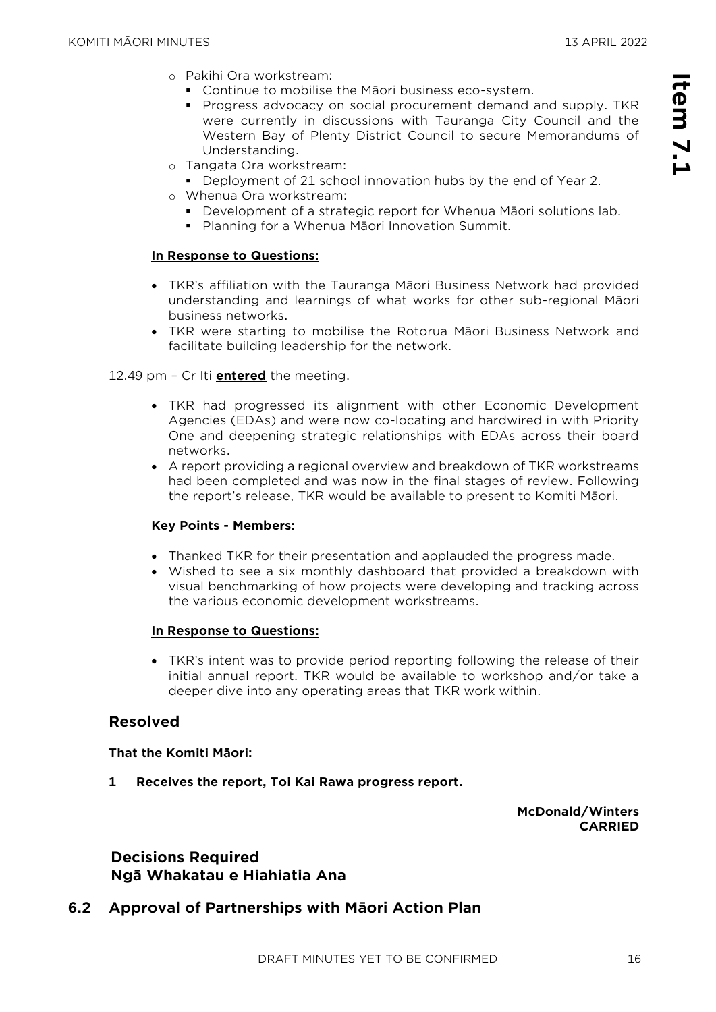**Item 7.1**

tem 7.1

- o Pakihi Ora workstream:
	- Continue to mobilise the Māori business eco-system.
	- Progress advocacy on social procurement demand and supply. TKR were currently in discussions with Tauranga City Council and the Western Bay of Plenty District Council to secure Memorandums of Understanding.
- o Tangata Ora workstream:
	- Deployment of 21 school innovation hubs by the end of Year 2.
- o Whenua Ora workstream:
	- **Development of a strategic report for Whenua Māori solutions lab.**
	- Planning for a Whenua Māori Innovation Summit.

#### **In Response to Questions:**

- TKR's affiliation with the Tauranga Māori Business Network had provided understanding and learnings of what works for other sub-regional Māori business networks.
- TKR were starting to mobilise the Rotorua Māori Business Network and facilitate building leadership for the network.

12.49 pm – Cr Iti **entered** the meeting.

- TKR had progressed its alignment with other Economic Development Agencies (EDAs) and were now co-locating and hardwired in with Priority One and deepening strategic relationships with EDAs across their board networks.
- A report providing a regional overview and breakdown of TKR workstreams had been completed and was now in the final stages of review. Following the report's release, TKR would be available to present to Komiti Māori.

#### **Key Points - Members:**

- Thanked TKR for their presentation and applauded the progress made.
- Wished to see a six monthly dashboard that provided a breakdown with visual benchmarking of how projects were developing and tracking across the various economic development workstreams.

#### **In Response to Questions:**

• TKR's intent was to provide period reporting following the release of their initial annual report. TKR would be available to workshop and/or take a deeper dive into any operating areas that TKR work within.

#### **Resolved**

#### **That the Komiti Māori:**

**1 Receives the report, Toi Kai Rawa progress report.**

**McDonald/Winters CARRIED**

#### **Decisions Required Ngā Whakatau e Hiahiatia Ana**

#### **6.2 Approval of Partnerships with Māori Action Plan**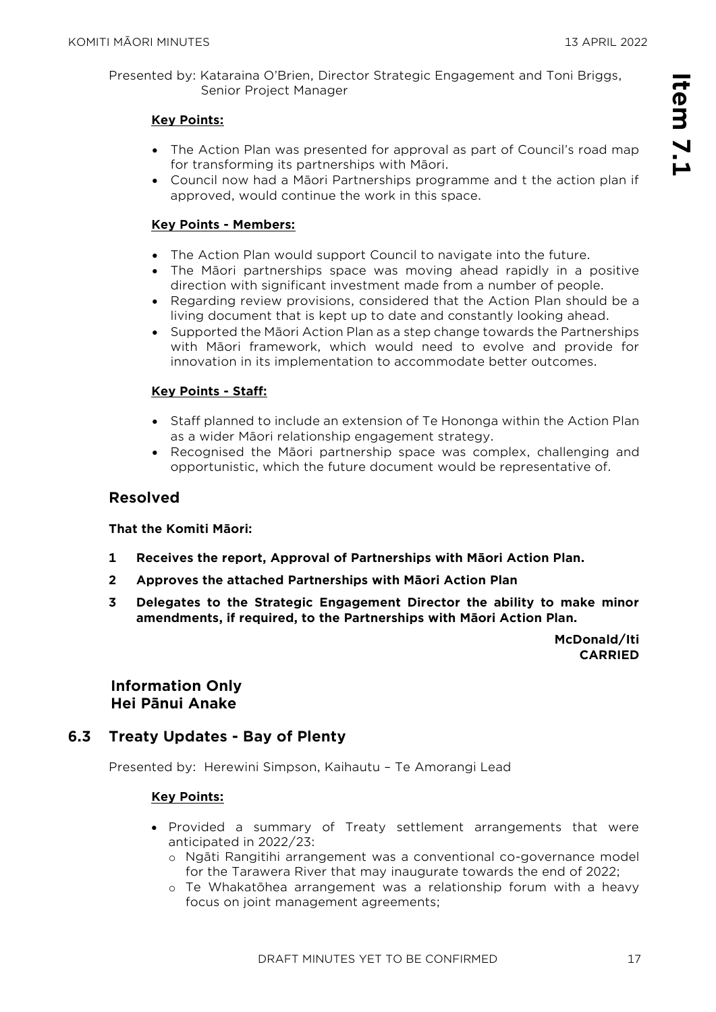Presented by: Kataraina O'Brien, Director Strategic Engagement and Toni Briggs, Senior Project Manager

#### **Key Points:**

- The Action Plan was presented for approval as part of Council's road map for transforming its partnerships with Māori.
- Council now had a Māori Partnerships programme and t the action plan if approved, would continue the work in this space.

#### **Key Points - Members:**

- The Action Plan would support Council to navigate into the future.
- The Māori partnerships space was moving ahead rapidly in a positive direction with significant investment made from a number of people.
- Regarding review provisions, considered that the Action Plan should be a living document that is kept up to date and constantly looking ahead.
- Supported the Māori Action Plan as a step change towards the Partnerships with Māori framework, which would need to evolve and provide for innovation in its implementation to accommodate better outcomes.

#### **Key Points - Staff:**

- Staff planned to include an extension of Te Hononga within the Action Plan as a wider Māori relationship engagement strategy.
- Recognised the Māori partnership space was complex, challenging and opportunistic, which the future document would be representative of.

#### **Resolved**

#### **That the Komiti Māori:**

- **1 Receives the report, Approval of Partnerships with Māori Action Plan.**
- **2 Approves the attached Partnerships with Māori Action Plan**
- **3 Delegates to the Strategic Engagement Director the ability to make minor amendments, if required, to the Partnerships with Māori Action Plan.**

**McDonald/Iti CARRIED**

**Information Only Hei Pānui Anake**

#### **6.3 Treaty Updates - Bay of Plenty**

Presented by: Herewini Simpson, Kaihautu – Te Amorangi Lead

#### **Key Points:**

- Provided a summary of Treaty settlement arrangements that were anticipated in 2022/23:
	- o Ngāti Rangitihi arrangement was a conventional co-governance model for the Tarawera River that may inaugurate towards the end of 2022;
	- o Te Whakatōhea arrangement was a relationship forum with a heavy focus on joint management agreements;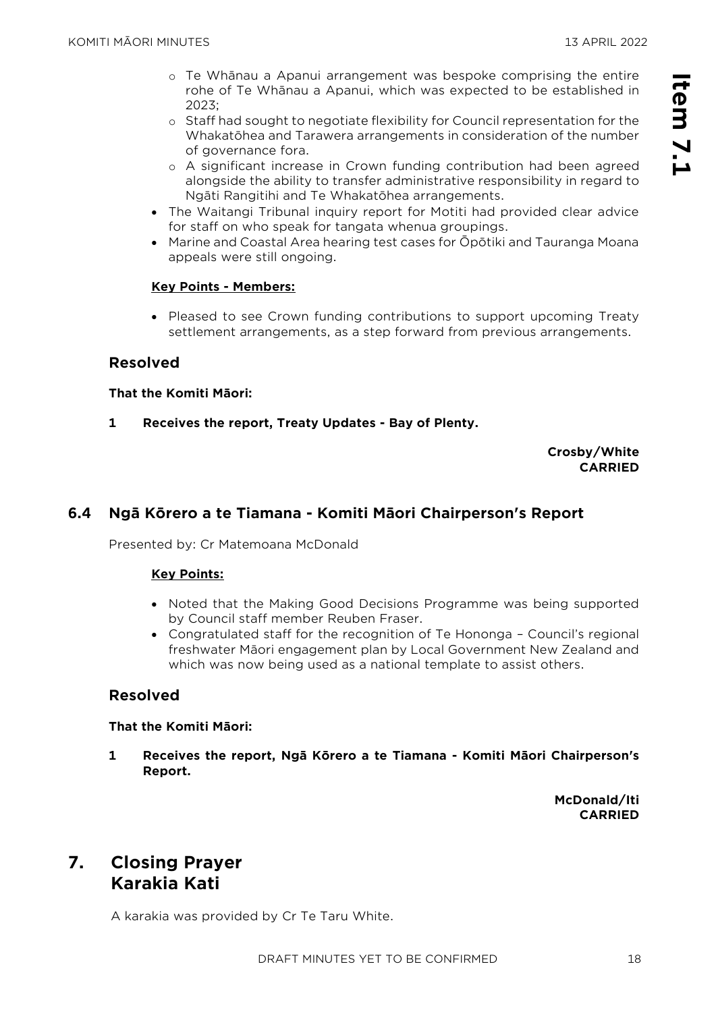- o Te Whānau a Apanui arrangement was bespoke comprising the entire rohe of Te Whānau a Apanui, which was expected to be established in  $2023$
- o Staff had sought to negotiate flexibility for Council representation for the Whakatōhea and Tarawera arrangements in consideration of the number of governance fora.
- o A significant increase in Crown funding contribution had been agreed alongside the ability to transfer administrative responsibility in regard to Ngāti Rangitihi and Te Whakatōhea arrangements.
- The Waitangi Tribunal inquiry report for Motiti had provided clear advice for staff on who speak for tangata whenua groupings.
- Marine and Coastal Area hearing test cases for Ōpōtiki and Tauranga Moana appeals were still ongoing.

#### **Key Points - Members:**

• Pleased to see Crown funding contributions to support upcoming Treaty settlement arrangements, as a step forward from previous arrangements.

#### **Resolved**

#### **That the Komiti Māori:**

**1 Receives the report, Treaty Updates - Bay of Plenty.**

#### **Crosby/White CARRIED**

#### **6.4 Ngā Kōrero a te Tiamana - Komiti Māori Chairperson's Report**

Presented by: Cr Matemoana McDonald

#### **Key Points:**

- Noted that the Making Good Decisions Programme was being supported by Council staff member Reuben Fraser.
- Congratulated staff for the recognition of Te Hononga Council's regional freshwater Māori engagement plan by Local Government New Zealand and which was now being used as a national template to assist others.

#### **Resolved**

#### **That the Komiti Māori:**

**1 Receives the report, Ngā Kōrero a te Tiamana - Komiti Māori Chairperson's Report.**

> **McDonald/Iti CARRIED**

## **7. Closing Prayer Karakia Kati**

A karakia was provided by Cr Te Taru White.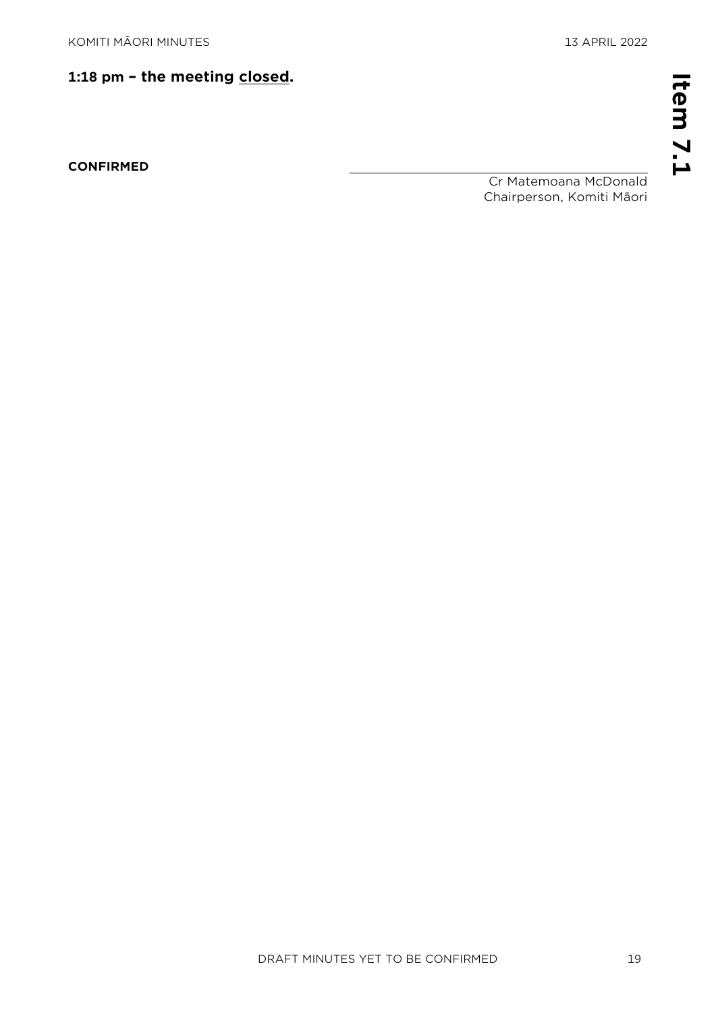## **1:18 pm – the meeting closed.**

**CONFIRMED** 

Cr Matemoana McDonald Chairperson, Komiti Māori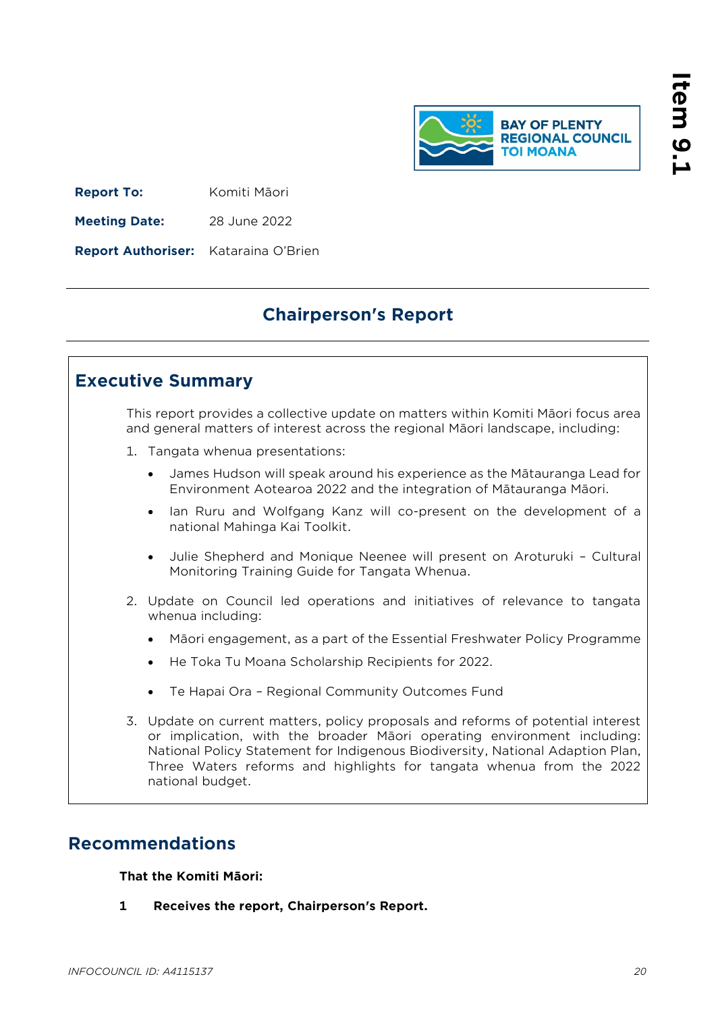

<span id="page-19-0"></span>**Report To:** Komiti Māori

**Meeting Date:** 28 June 2022

**Report Authoriser:** Kataraina O'Brien

# **Chairperson's Report**

## **Executive Summary**

This report provides a collective update on matters within Komiti Māori focus area and general matters of interest across the regional Māori landscape, including:

- 1. Tangata whenua presentations:
	- James Hudson will speak around his experience as the Mātauranga Lead for Environment Aotearoa 2022 and the integration of Mātauranga Māori.
	- Ian Ruru and Wolfgang Kanz will co-present on the development of a national Mahinga Kai Toolkit.
	- Julie Shepherd and Monique Neenee will present on Aroturuki Cultural Monitoring Training Guide for Tangata Whenua.
- 2. Update on Council led operations and initiatives of relevance to tangata whenua including:
	- Māori engagement, as a part of the Essential Freshwater Policy Programme
	- He Toka Tu Moana Scholarship Recipients for 2022.
	- Te Hapai Ora Regional Community Outcomes Fund
- 3. Update on current matters, policy proposals and reforms of potential interest or implication, with the broader Māori operating environment including: National Policy Statement for Indigenous Biodiversity, National Adaption Plan, Three Waters reforms and highlights for tangata whenua from the 2022 national budget.

# **Recommendations**

#### **That the Komiti Māori:**

**1 Receives the report, Chairperson's Report.**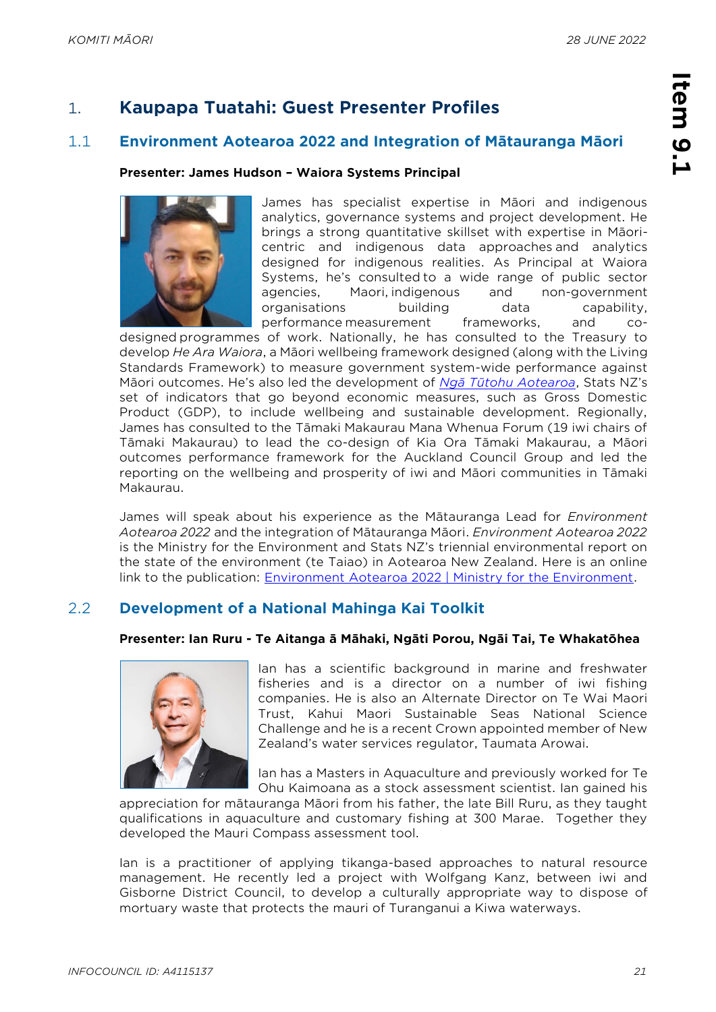# 1. **Kaupapa Tuatahi: Guest Presenter Profiles**

#### 1.1 **Environment Aotearoa 2022 and Integration of Mātauranga Māori**

#### **Presenter: James Hudson – Waiora Systems Principal**



James has specialist expertise in Māori and indigenous analytics, governance systems and project development. He brings a strong quantitative skillset with expertise in Māoricentric and indigenous data approaches and analytics designed for indigenous realities. As Principal at Waiora Systems, he's consulted to a wide range of public sector agencies, Maori, indigenous and non-government organisations building data capability, performance measurement frameworks, and co-

designed programmes of work. Nationally, he has consulted to the Treasury to develop *He Ara Waiora*, a Māori wellbeing framework designed (along with the Living Standards Framework) to measure government system-wide performance against Māori outcomes. He's also led the development of *[Ngā Tūtohu](https://www.stats.govt.nz/indicators-and-snapshots/indicators-aotearoa-new-zealand-nga-tutohu-aotearoa/) Aotearoa*, Stats NZ's set of indicators that go beyond economic measures, such as Gross Domestic Product (GDP), to include wellbeing and sustainable development. Regionally, James has consulted to the Tāmaki Makaurau Mana Whenua Forum (19 iwi chairs of Tāmaki Makaurau) to lead the co-design of Kia Ora Tāmaki Makaurau, a Māori outcomes performance framework for the Auckland Council Group and led the reporting on the wellbeing and prosperity of iwi and Māori communities in Tāmaki Makaurau.

James will speak about his experience as the Mātauranga Lead for *Environment Aotearoa 2022* and the integration of Mātauranga Māori. *Environment Aotearoa 2022* is the Ministry for the Environment and Stats NZ's triennial environmental report on the state of the environment (te Taiao) in Aotearoa New Zealand. Here is an online link to the publication: [Environment Aotearoa 2022 | Ministry for the Environment.](https://environment.govt.nz/publications/environment-aotearoa-2022/)

### 2.2 **Development of a National Mahinga Kai Toolkit**

#### **Presenter: Ian Ruru - Te Aitanga ā Māhaki, Ngāti Porou, Ngāi Tai, Te Whakatōhea**



Ian has a scientific background in marine and freshwater fisheries and is a director on a number of iwi fishing companies. He is also an Alternate Director on Te Wai Maori Trust, Kahui Maori Sustainable Seas National Science Challenge and he is a recent Crown appointed member of New Zealand's water services regulator, Taumata Arowai.

Ian has a Masters in Aquaculture and previously worked for Te Ohu Kaimoana as a stock assessment scientist. Ian gained his

appreciation for mātauranga Māori from his father, the late Bill Ruru, as they taught qualifications in aquaculture and customary fishing at 300 Marae. Together they developed the Mauri Compass assessment tool.

Ian is a practitioner of applying tikanga-based approaches to natural resource management. He recently led a project with Wolfgang Kanz, between iwi and Gisborne District Council, to develop a culturally appropriate way to dispose of mortuary waste that protects the mauri of Turanganui a Kiwa waterways.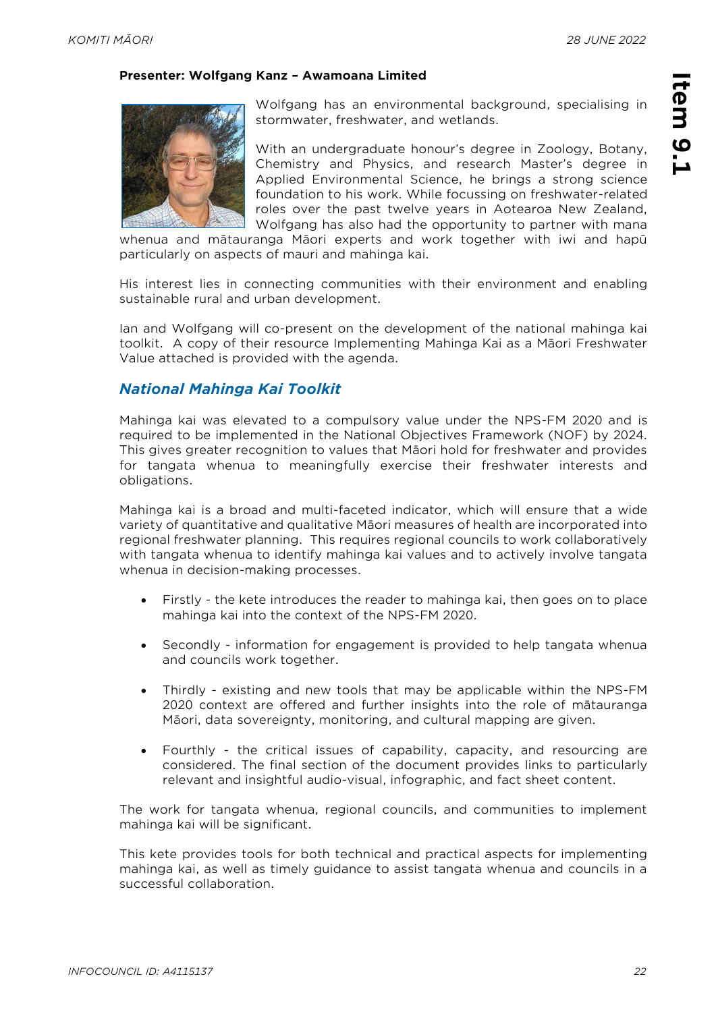#### **Presenter: Wolfgang Kanz – Awamoana Limited**



Wolfgang has an environmental background, specialising in stormwater, freshwater, and wetlands.

With an undergraduate honour's degree in Zoology, Botany, Chemistry and Physics, and research Master's degree in Applied Environmental Science, he brings a strong science foundation to his work. While focussing on freshwater-related roles over the past twelve years in Aotearoa New Zealand, Wolfgang has also had the opportunity to partner with mana

whenua and mātauranga Māori experts and work together with iwi and hapū particularly on aspects of mauri and mahinga kai.

His interest lies in connecting communities with their environment and enabling sustainable rural and urban development.

Ian and Wolfgang will co-present on the development of the national mahinga kai toolkit. A copy of their resource Implementing Mahinga Kai as a Māori Freshwater Value attached is provided with the agenda.

#### *National Mahinga Kai Toolkit*

Mahinga kai was elevated to a compulsory value under the NPS-FM 2020 and is required to be implemented in the National Objectives Framework (NOF) by 2024. This gives greater recognition to values that Māori hold for freshwater and provides for tangata whenua to meaningfully exercise their freshwater interests and obligations.

Mahinga kai is a broad and multi-faceted indicator, which will ensure that a wide variety of quantitative and qualitative Māori measures of health are incorporated into regional freshwater planning. This requires regional councils to work collaboratively with tangata whenua to identify mahinga kai values and to actively involve tangata whenua in decision-making processes.

- Firstly the kete introduces the reader to mahinga kai, then goes on to place mahinga kai into the context of the NPS-FM 2020.
- Secondly information for engagement is provided to help tangata whenua and councils work together.
- Thirdly existing and new tools that may be applicable within the NPS-FM 2020 context are offered and further insights into the role of mātauranga Māori, data sovereignty, monitoring, and cultural mapping are given.
- Fourthly the critical issues of capability, capacity, and resourcing are considered. The final section of the document provides links to particularly relevant and insightful audio-visual, infographic, and fact sheet content.

The work for tangata whenua, regional councils, and communities to implement mahinga kai will be significant.

This kete provides tools for both technical and practical aspects for implementing mahinga kai, as well as timely guidance to assist tangata whenua and councils in a successful collaboration.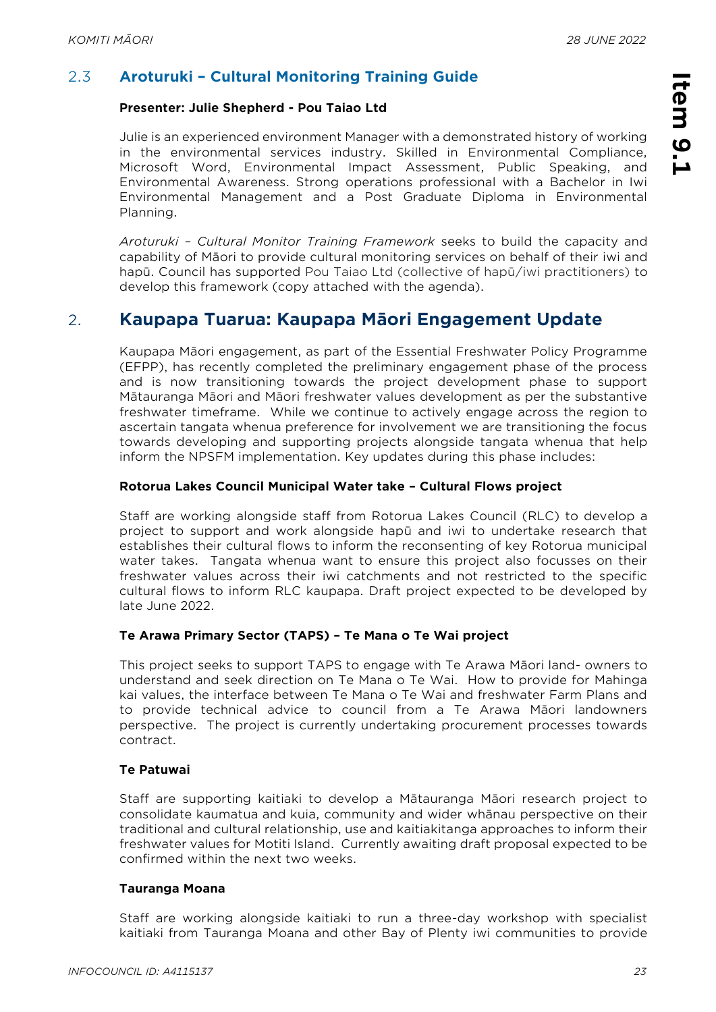**Item 9.1** 

Item 9.1

## 2.3 **Aroturuki – Cultural Monitoring Training Guide**

#### **Presenter: Julie Shepherd - Pou Taiao Ltd**

Julie is an experienced environment Manager with a demonstrated history of working in the environmental services industry. Skilled in Environmental Compliance, Microsoft Word, Environmental Impact Assessment, Public Speaking, and Environmental Awareness. Strong operations professional with a Bachelor in Iwi Environmental Management and a Post Graduate Diploma in Environmental Planning.

*Aroturuki – Cultural Monitor Training Framework* seeks to build the capacity and capability of Māori to provide cultural monitoring services on behalf of their iwi and hapū. Council has supported Pou Taiao Ltd (collective of hapū/iwi practitioners) to develop this framework (copy attached with the agenda).

# 2. **Kaupapa Tuarua: Kaupapa Māori Engagement Update**

Kaupapa Māori engagement, as part of the Essential Freshwater Policy Programme (EFPP), has recently completed the preliminary engagement phase of the process and is now transitioning towards the project development phase to support Mātauranga Māori and Māori freshwater values development as per the substantive freshwater timeframe. While we continue to actively engage across the region to ascertain tangata whenua preference for involvement we are transitioning the focus towards developing and supporting projects alongside tangata whenua that help inform the NPSFM implementation. Key updates during this phase includes:

#### **Rotorua Lakes Council Municipal Water take – Cultural Flows project**

Staff are working alongside staff from Rotorua Lakes Council (RLC) to develop a project to support and work alongside hapū and iwi to undertake research that establishes their cultural flows to inform the reconsenting of key Rotorua municipal water takes. Tangata whenua want to ensure this project also focusses on their freshwater values across their iwi catchments and not restricted to the specific cultural flows to inform RLC kaupapa. Draft project expected to be developed by late June 2022.

#### **Te Arawa Primary Sector (TAPS) – Te Mana o Te Wai project**

This project seeks to support TAPS to engage with Te Arawa Māori land- owners to understand and seek direction on Te Mana o Te Wai. How to provide for Mahinga kai values, the interface between Te Mana o Te Wai and freshwater Farm Plans and to provide technical advice to council from a Te Arawa Māori landowners perspective. The project is currently undertaking procurement processes towards contract.

#### **Te Patuwai**

Staff are supporting kaitiaki to develop a Mātauranga Māori research project to consolidate kaumatua and kuia, community and wider whānau perspective on their traditional and cultural relationship, use and kaitiakitanga approaches to inform their freshwater values for Motiti Island. Currently awaiting draft proposal expected to be confirmed within the next two weeks.

#### **Tauranga Moana**

Staff are working alongside kaitiaki to run a three-day workshop with specialist kaitiaki from Tauranga Moana and other Bay of Plenty iwi communities to provide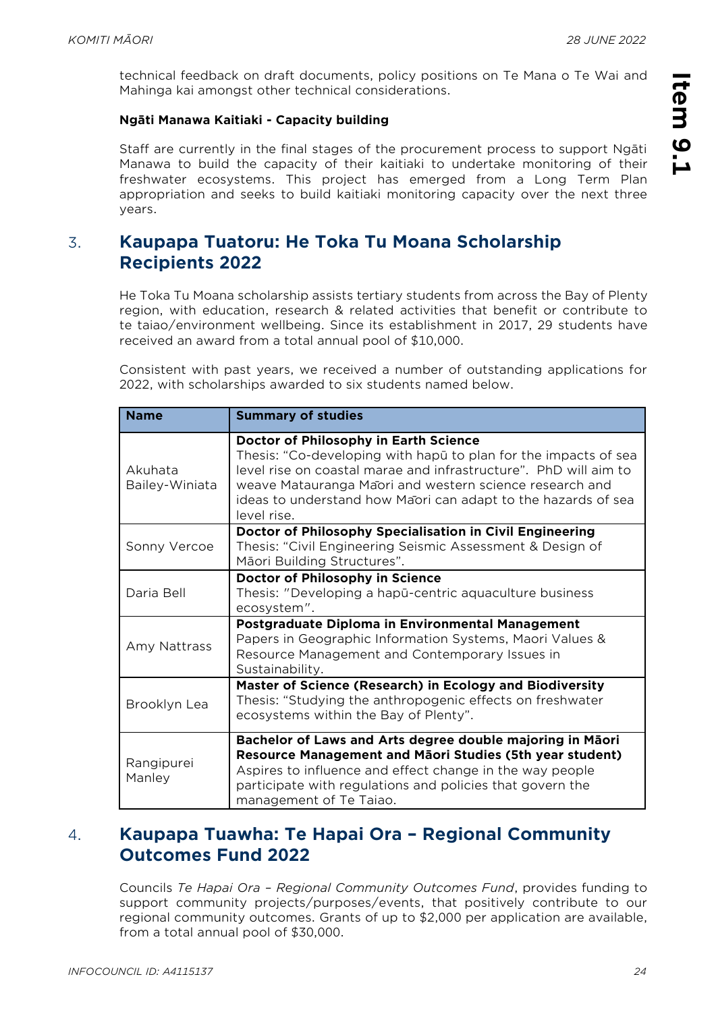**Item 9.1** 

Item 9.1

technical feedback on draft documents, policy positions on Te Mana o Te Wai and Mahinga kai amongst other technical considerations.

#### **Ngāti Manawa Kaitiaki - Capacity building**

Staff are currently in the final stages of the procurement process to support Ngāti Manawa to build the capacity of their kaitiaki to undertake monitoring of their freshwater ecosystems. This project has emerged from a Long Term Plan appropriation and seeks to build kaitiaki monitoring capacity over the next three years.

# 3. **Kaupapa Tuatoru: He Toka Tu Moana Scholarship Recipients 2022**

He Toka Tu Moana scholarship assists tertiary students from across the Bay of Plenty region, with education, research & related activities that benefit or contribute to te taiao/environment wellbeing. Since its establishment in 2017, 29 students have received an award from a total annual pool of \$10,000.

Consistent with past years, we received a number of outstanding applications for 2022, with scholarships awarded to six students named below.

| <b>Name</b>               | <b>Summary of studies</b>                                                                                                                                                                                                                                                                                                |
|---------------------------|--------------------------------------------------------------------------------------------------------------------------------------------------------------------------------------------------------------------------------------------------------------------------------------------------------------------------|
| Akuhata<br>Bailey-Winiata | Doctor of Philosophy in Earth Science<br>Thesis: "Co-developing with haput to plan for the impacts of sea<br>level rise on coastal marae and infrastructure". PhD will aim to<br>weave Matauranga Maori and western science research and<br>ideas to understand how Maori can adapt to the hazards of sea<br>level rise. |
| Sonny Vercoe              | Doctor of Philosophy Specialisation in Civil Engineering<br>Thesis: "Civil Engineering Seismic Assessment & Design of<br>Māori Building Structures".                                                                                                                                                                     |
| Daria Bell                | Doctor of Philosophy in Science<br>Thesis: "Developing a hapū-centric aquaculture business<br>ecosystem".                                                                                                                                                                                                                |
| Amy Nattrass              | Postgraduate Diploma in Environmental Management<br>Papers in Geographic Information Systems, Maori Values &<br>Resource Management and Contemporary Issues in<br>Sustainability.                                                                                                                                        |
| Brooklyn Lea              | Master of Science (Research) in Ecology and Biodiversity<br>Thesis: "Studying the anthropogenic effects on freshwater<br>ecosystems within the Bay of Plenty".                                                                                                                                                           |
| Rangipurei<br>Manley      | Bachelor of Laws and Arts degree double majoring in Māori<br>Resource Management and Māori Studies (5th year student)<br>Aspires to influence and effect change in the way people<br>participate with regulations and policies that govern the<br>management of Te Taiao.                                                |

# 4. **Kaupapa Tuawha: Te Hapai Ora – Regional Community Outcomes Fund 2022**

Councils *Te Hapai Ora – Regional Community Outcomes Fund*, provides funding to support community projects/purposes/events, that positively contribute to our regional community outcomes. Grants of up to \$2,000 per application are available, from a total annual pool of \$30,000.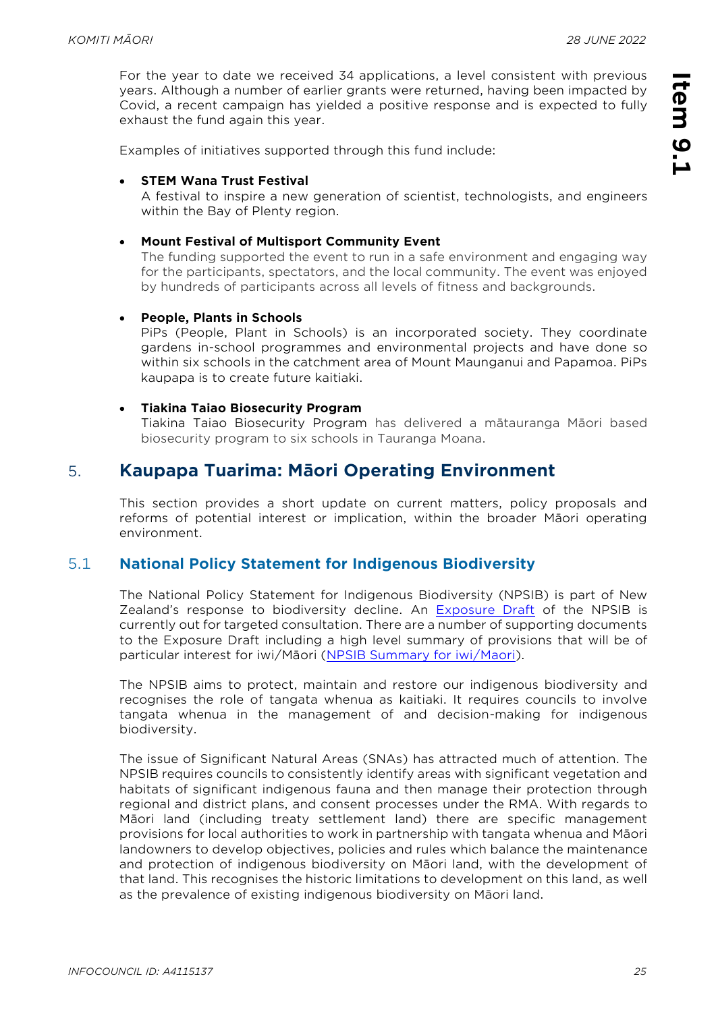For the year to date we received 34 applications, a level consistent with previous years. Although a number of earlier grants were returned, having been impacted by Covid, a recent campaign has yielded a positive response and is expected to fully exhaust the fund again this year.

Examples of initiatives supported through this fund include:

#### • **STEM Wana Trust Festival**

A festival to inspire a new generation of scientist, technologists, and engineers within the Bay of Plenty region.

#### • **Mount Festival of Multisport Community Event**

The funding supported the event to run in a safe environment and engaging way for the participants, spectators, and the local community. The event was enjoyed by hundreds of participants across all levels of fitness and backgrounds.

#### • **People, Plants in Schools**

PiPs (People, Plant in Schools) is an incorporated society. They coordinate gardens in-school programmes and environmental projects and have done so within six schools in the catchment area of Mount Maunganui and Papamoa. PiPs kaupapa is to create future kaitiaki.

#### • **Tiakina Taiao Biosecurity Program**

Tiakina Taiao Biosecurity Program has delivered a mātauranga Māori based biosecurity program to six schools in Tauranga Moana.

## 5. **Kaupapa Tuarima: Māori Operating Environment**

This section provides a short update on current matters, policy proposals and reforms of potential interest or implication, within the broader Māori operating environment.

#### 5.1 **National Policy Statement for Indigenous Biodiversity**

The National Policy Statement for Indigenous Biodiversity (NPSIB) is part of New Zealand's response to biodiversity decline. An [Exposure Draft](https://urldefense.com/v3/__https:/environment.govt.nz/assets/publications/NPSIB-exposure-draft.pdf__;!!DvYdZ-73Bg!ybZ0wlb81CQEL6FOPkPT1vPg-vU5Fp1mbJL5jaB5L4BbBmOf9D4LlvJlaPSne0hE8Fr6_f_5L0vnrMv8-qoECqqvqsHAobTgrg$) of the NPSIB is currently out for targeted consultation. There are a number of supporting documents to the Exposure Draft including a high level summary of provisions that will be of particular interest for iwi/Māori ([NPSIB Summary for iwi/Maori\)](https://environment.govt.nz/assets/publications/npsib-summary-for-iwi-maori-info-sheet.pdf).

The NPSIB aims to protect, maintain and restore our indigenous biodiversity and recognises the role of tangata whenua as kaitiaki. It requires councils to involve tangata whenua in the management of and decision-making for indigenous biodiversity.

The issue of Significant Natural Areas (SNAs) has attracted much of attention. The NPSIB requires councils to consistently identify areas with significant vegetation and habitats of significant indigenous fauna and then manage their protection through regional and district plans, and consent processes under the RMA. With regards to Māori land (including treaty settlement land) there are specific management provisions for local authorities to work in partnership with tangata whenua and Māori landowners to develop objectives, policies and rules which balance the maintenance and protection of indigenous biodiversity on Māori land, with the development of that land. This recognises the historic limitations to development on this land, as well as the prevalence of existing indigenous biodiversity on Māori land.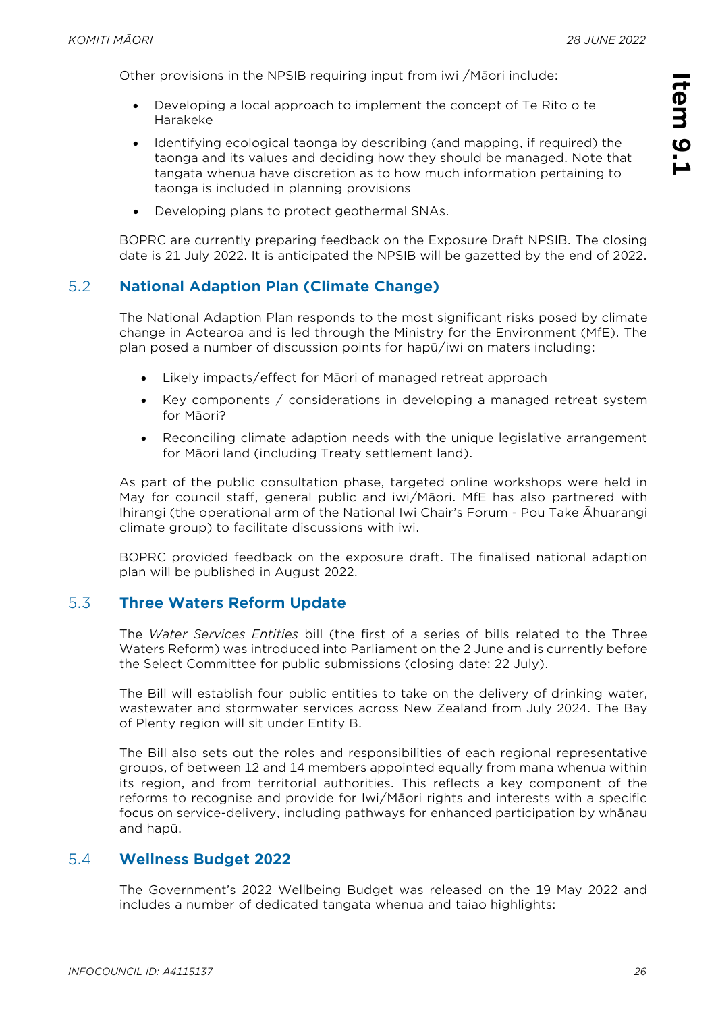**Item 9.1** 

Item 9.1

Other provisions in the NPSIB requiring input from iwi /Māori include:

- Developing a local approach to implement the concept of Te Rito o te Harakeke
- Identifying ecological taonga by describing (and mapping, if required) the taonga and its values and deciding how they should be managed. Note that tangata whenua have discretion as to how much information pertaining to taonga is included in planning provisions
- Developing plans to protect geothermal SNAs.

BOPRC are currently preparing feedback on the Exposure Draft NPSIB. The closing date is 21 July 2022. It is anticipated the NPSIB will be gazetted by the end of 2022.

#### 5.2 **National Adaption Plan (Climate Change)**

The National Adaption Plan responds to the most significant risks posed by climate change in Aotearoa and is led through the Ministry for the Environment (MfE). The plan posed a number of discussion points for hapū/iwi on maters including:

- Likely impacts/effect for Māori of managed retreat approach
- Key components / considerations in developing a managed retreat system for Māori?
- Reconciling climate adaption needs with the unique legislative arrangement for Māori land (including Treaty settlement land).

As part of the public consultation phase, targeted online workshops were held in May for council staff, general public and iwi/Māori. MfE has also partnered with Ihirangi (the operational arm of the National Iwi Chair's Forum - Pou Take Āhuarangi climate group) to facilitate discussions with iwi.

BOPRC provided feedback on the exposure draft. The finalised national adaption plan will be published in August 2022.

#### 5.3 **Three Waters Reform Update**

The *Water Services Entities* bill (the first of a series of bills related to the Three Waters Reform) was introduced into Parliament on the 2 June and is currently before the Select Committee for public submissions (closing date: 22 July).

The Bill will establish four public entities to take on the delivery of drinking water, wastewater and stormwater services across New Zealand from July 2024. The Bay of Plenty region will sit under Entity B.

The Bill also sets out the roles and responsibilities of each regional representative groups, of between 12 and 14 members appointed equally from mana whenua within its region, and from territorial authorities. This reflects a key component of the reforms to recognise and provide for Iwi/Māori rights and interests with a specific focus on service-delivery, including pathways for enhanced participation by whānau and hapū.

#### 5.4 **Wellness Budget 2022**

The Government's 2022 Wellbeing Budget was released on the 19 May 2022 and includes a number of dedicated tangata whenua and taiao highlights: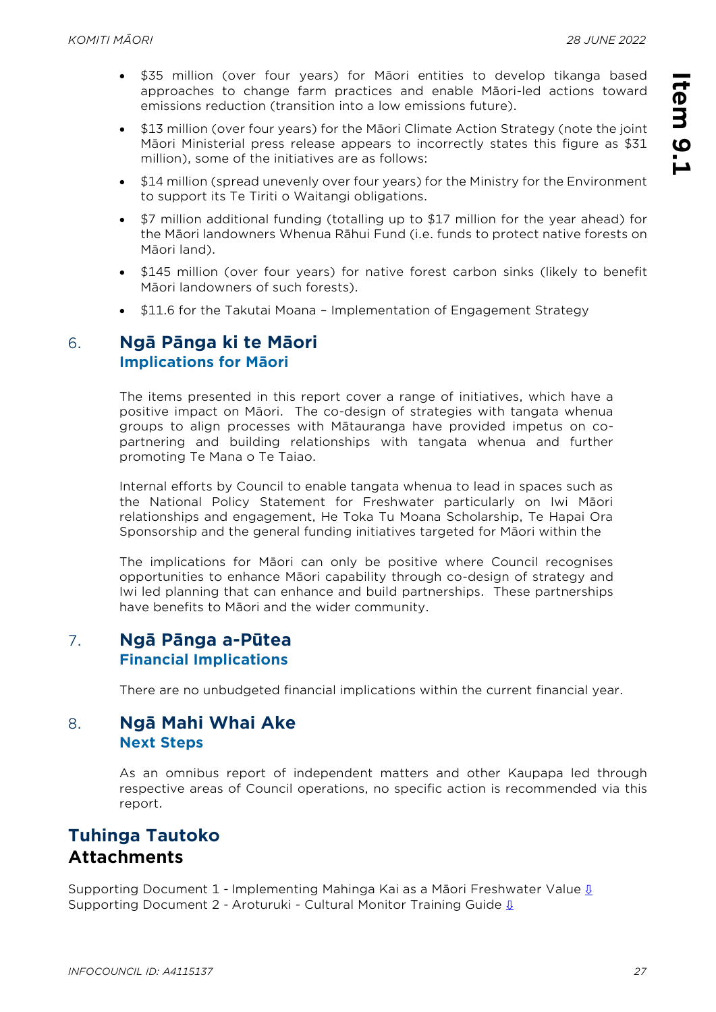- \$35 million (over four years) for Māori entities to develop tikanga based approaches to change farm practices and enable Māori-led actions toward emissions reduction (transition into a low emissions future).
- \$13 million (over four years) for the Māori Climate Action Strategy (note the joint Māori Ministerial press release appears to incorrectly states this figure as \$31 million), some of the initiatives are as follows:
- \$14 million (spread unevenly over four years) for the Ministry for the Environment to support its Te Tiriti o Waitangi obligations.
- \$7 million additional funding (totalling up to \$17 million for the year ahead) for the Māori landowners Whenua Rāhui Fund (i.e. funds to protect native forests on Māori land).
- \$145 million (over four years) for native forest carbon sinks (likely to benefit Māori landowners of such forests).
- \$11.6 for the Takutai Moana Implementation of Engagement Strategy

### 6. **Ngā Pānga ki te Māori Implications for Māori**

The items presented in this report cover a range of initiatives, which have a positive impact on Māori. The co-design of strategies with tangata whenua groups to align processes with Mātauranga have provided impetus on copartnering and building relationships with tangata whenua and further promoting Te Mana o Te Taiao.

Internal efforts by Council to enable tangata whenua to lead in spaces such as the National Policy Statement for Freshwater particularly on Iwi Māori relationships and engagement, He Toka Tu Moana Scholarship, Te Hapai Ora Sponsorship and the general funding initiatives targeted for Māori within the

The implications for Māori can only be positive where Council recognises opportunities to enhance Māori capability through co-design of strategy and Iwi led planning that can enhance and build partnerships. These partnerships have benefits to Māori and the wider community.

## 7. **Ngā Pānga a-Pūtea Financial Implications**

There are no unbudgeted financial implications within the current financial year.

### 8. **Ngā Mahi Whai Ake Next Steps**

As an omnibus report of independent matters and other Kaupapa led through respective areas of Council operations, no specific action is recommended via this report.

# **Tuhinga Tautoko Attachments**

Supporting Document 1 - Implementing Mahinga Kai as a Māori Freshwater Value **ℓ** Supporting Document 2 - Aroturuki - Cultural Monitor Training Guide  $\underline{\mathbf{0}}$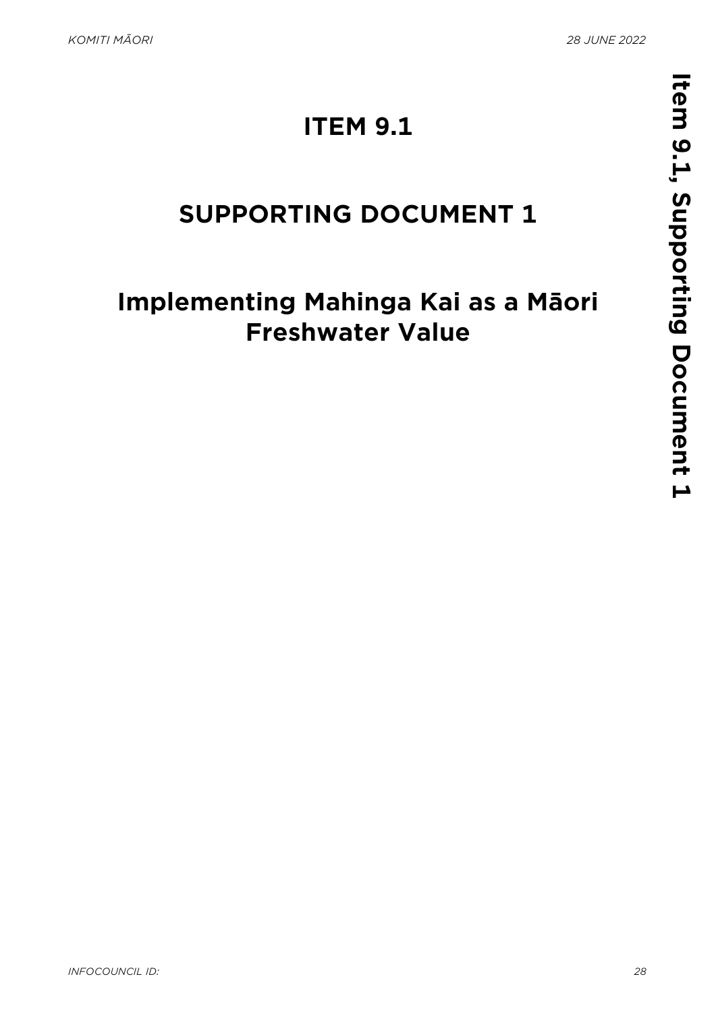# **ITEM 9.1**

# <span id="page-27-0"></span>**SUPPORTING DOCUMENT 1**

# **Implementing Mahinga Kai as a Māori Freshwater Value**